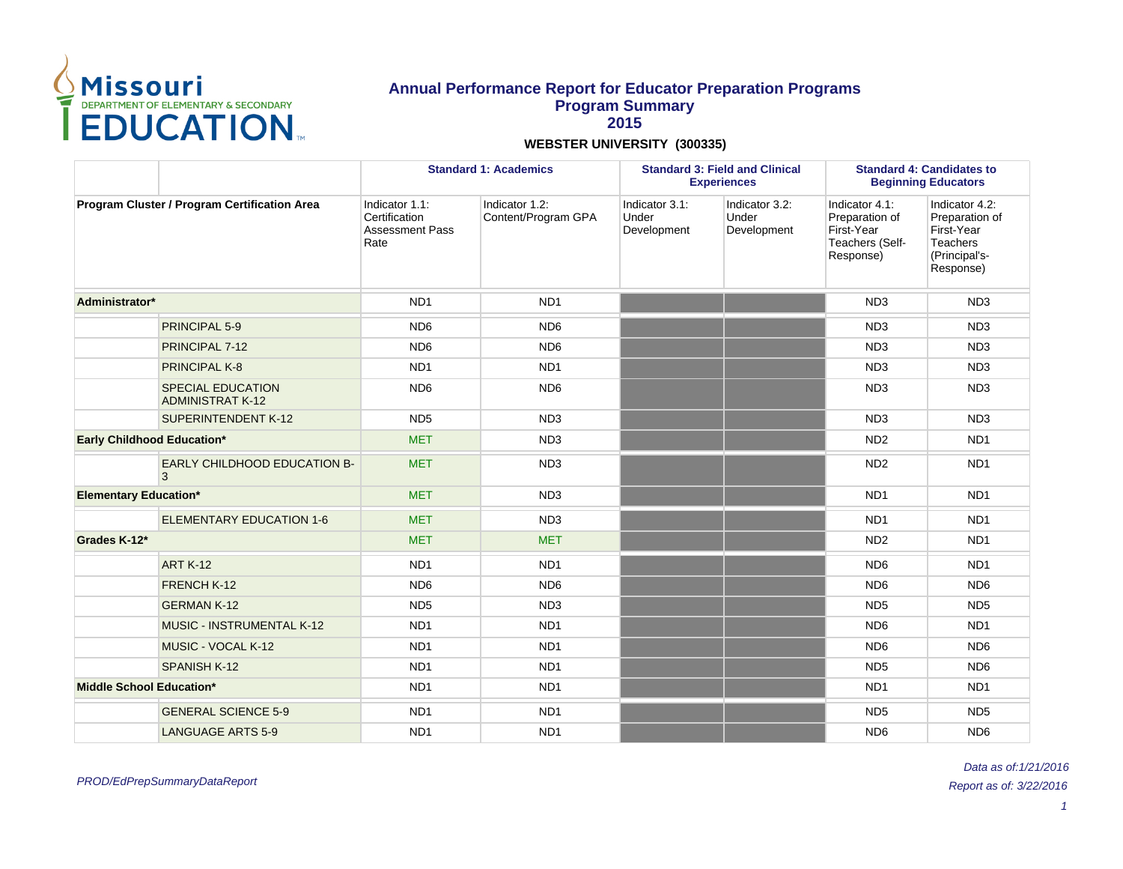

|                                 |                                                     | <b>Standard 1: Academics</b>                                      |                                       |                                        | <b>Standard 3: Field and Clinical</b><br><b>Experiences</b> | <b>Standard 4: Candidates to</b><br><b>Beginning Educators</b>                 |                                                                                                 |  |
|---------------------------------|-----------------------------------------------------|-------------------------------------------------------------------|---------------------------------------|----------------------------------------|-------------------------------------------------------------|--------------------------------------------------------------------------------|-------------------------------------------------------------------------------------------------|--|
|                                 | Program Cluster / Program Certification Area        | Indicator 1.1:<br>Certification<br><b>Assessment Pass</b><br>Rate | Indicator 1.2:<br>Content/Program GPA | Indicator 3.1:<br>Under<br>Development | Indicator 3.2:<br>Under<br>Development                      | Indicator 4.1:<br>Preparation of<br>First-Year<br>Teachers (Self-<br>Response) | Indicator 4.2:<br>Preparation of<br>First-Year<br><b>Teachers</b><br>(Principal's-<br>Response) |  |
| Administrator*                  |                                                     | ND <sub>1</sub>                                                   | ND <sub>1</sub>                       |                                        |                                                             | ND <sub>3</sub>                                                                | ND <sub>3</sub>                                                                                 |  |
|                                 | PRINCIPAL 5-9                                       | ND <sub>6</sub>                                                   | ND <sub>6</sub>                       |                                        |                                                             | ND <sub>3</sub>                                                                | ND <sub>3</sub>                                                                                 |  |
|                                 | PRINCIPAL 7-12                                      | ND <sub>6</sub>                                                   | ND <sub>6</sub>                       |                                        |                                                             | ND <sub>3</sub>                                                                | ND <sub>3</sub>                                                                                 |  |
|                                 | PRINCIPAL K-8                                       | ND <sub>1</sub>                                                   | ND <sub>1</sub>                       |                                        |                                                             | ND <sub>3</sub>                                                                | ND <sub>3</sub>                                                                                 |  |
|                                 | <b>SPECIAL EDUCATION</b><br><b>ADMINISTRAT K-12</b> | ND <sub>6</sub>                                                   | ND <sub>6</sub>                       |                                        |                                                             | ND <sub>3</sub>                                                                | ND <sub>3</sub>                                                                                 |  |
|                                 | <b>SUPERINTENDENT K-12</b>                          | ND <sub>5</sub>                                                   | ND <sub>3</sub>                       |                                        |                                                             | ND <sub>3</sub>                                                                | ND <sub>3</sub>                                                                                 |  |
| Early Childhood Education*      |                                                     | <b>MET</b>                                                        | ND <sub>3</sub>                       |                                        |                                                             | ND <sub>2</sub>                                                                | ND <sub>1</sub>                                                                                 |  |
|                                 | <b>EARLY CHILDHOOD EDUCATION B-</b><br>3            | <b>MET</b>                                                        | ND <sub>3</sub>                       |                                        |                                                             | ND <sub>2</sub>                                                                | ND <sub>1</sub>                                                                                 |  |
| <b>Elementary Education*</b>    |                                                     | <b>MET</b>                                                        | ND <sub>3</sub>                       |                                        |                                                             | ND <sub>1</sub>                                                                | ND <sub>1</sub>                                                                                 |  |
|                                 | <b>ELEMENTARY EDUCATION 1-6</b>                     | <b>MET</b>                                                        | ND <sub>3</sub>                       |                                        |                                                             | ND <sub>1</sub>                                                                | ND <sub>1</sub>                                                                                 |  |
| Grades K-12*                    |                                                     | <b>MET</b>                                                        | <b>MET</b>                            |                                        |                                                             | ND <sub>2</sub>                                                                | ND <sub>1</sub>                                                                                 |  |
|                                 | <b>ART K-12</b>                                     | ND <sub>1</sub>                                                   | ND <sub>1</sub>                       |                                        |                                                             | ND <sub>6</sub>                                                                | ND <sub>1</sub>                                                                                 |  |
|                                 | FRENCH K-12                                         | ND <sub>6</sub>                                                   | ND <sub>6</sub>                       |                                        |                                                             | ND <sub>6</sub>                                                                | ND <sub>6</sub>                                                                                 |  |
|                                 | <b>GERMAN K-12</b>                                  | ND <sub>5</sub>                                                   | ND <sub>3</sub>                       |                                        |                                                             | ND <sub>5</sub>                                                                | ND <sub>5</sub>                                                                                 |  |
|                                 | <b>MUSIC - INSTRUMENTAL K-12</b>                    | ND <sub>1</sub>                                                   | ND <sub>1</sub>                       |                                        |                                                             | ND <sub>6</sub>                                                                | ND <sub>1</sub>                                                                                 |  |
|                                 | MUSIC - VOCAL K-12                                  | ND <sub>1</sub>                                                   | ND <sub>1</sub>                       |                                        |                                                             | ND <sub>6</sub>                                                                | ND <sub>6</sub>                                                                                 |  |
|                                 | <b>SPANISH K-12</b>                                 | ND <sub>1</sub>                                                   | ND <sub>1</sub>                       |                                        |                                                             | ND <sub>5</sub>                                                                | ND <sub>6</sub>                                                                                 |  |
| <b>Middle School Education*</b> |                                                     | ND <sub>1</sub>                                                   | ND <sub>1</sub>                       |                                        |                                                             | ND <sub>1</sub>                                                                | ND <sub>1</sub>                                                                                 |  |
|                                 | <b>GENERAL SCIENCE 5-9</b>                          | ND <sub>1</sub>                                                   | ND <sub>1</sub>                       |                                        |                                                             | ND <sub>5</sub>                                                                | ND <sub>5</sub>                                                                                 |  |
|                                 | <b>LANGUAGE ARTS 5-9</b>                            | ND <sub>1</sub>                                                   | ND <sub>1</sub>                       |                                        |                                                             | ND <sub>6</sub>                                                                | ND <sub>6</sub>                                                                                 |  |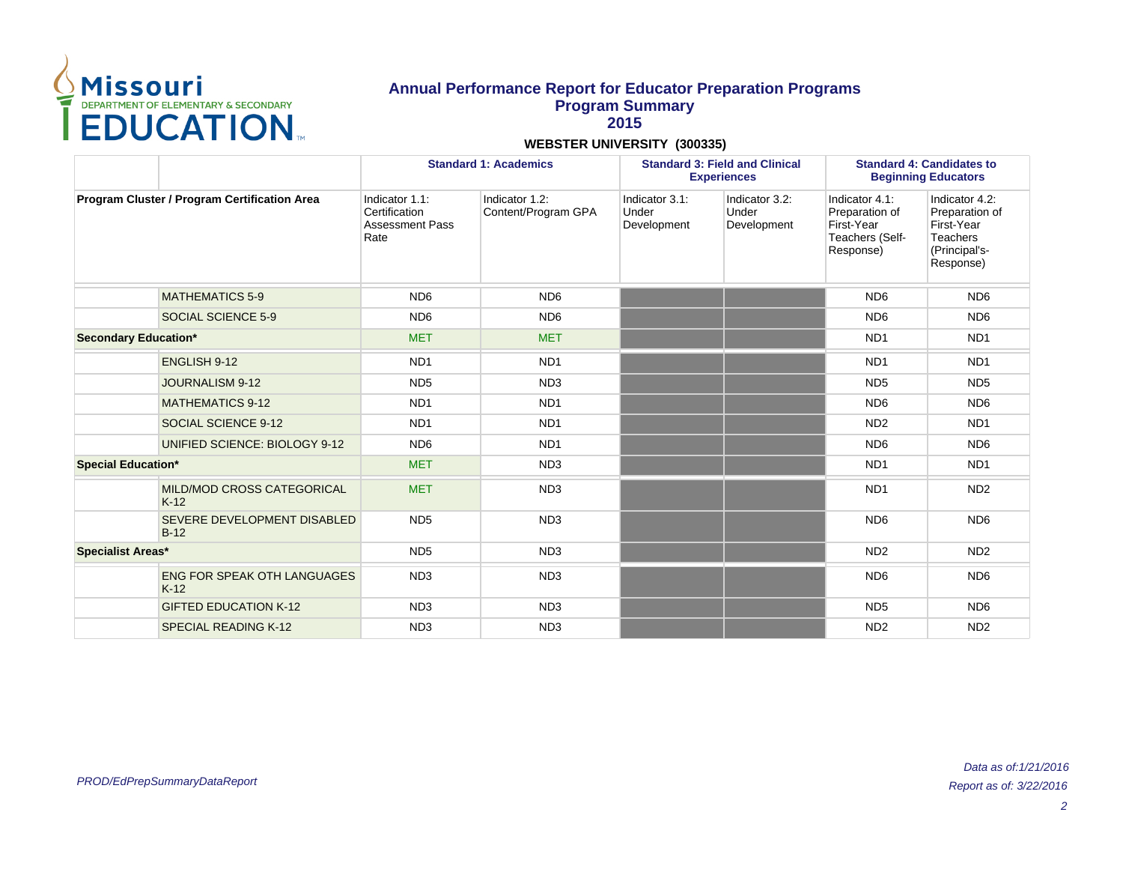

|                                              |                                              |                                                                   | <b>Standard 1: Academics</b>          | <b>Standard 3: Field and Clinical</b><br><b>Experiences</b> |                                        | <b>Standard 4: Candidates to</b><br><b>Beginning Educators</b>                 |                                                                                                 |
|----------------------------------------------|----------------------------------------------|-------------------------------------------------------------------|---------------------------------------|-------------------------------------------------------------|----------------------------------------|--------------------------------------------------------------------------------|-------------------------------------------------------------------------------------------------|
| Program Cluster / Program Certification Area |                                              | Indicator 1.1:<br>Certification<br><b>Assessment Pass</b><br>Rate | Indicator 1.2:<br>Content/Program GPA | Indicator 3.1:<br>Under<br>Development                      | Indicator 3.2:<br>Under<br>Development | Indicator 4.1:<br>Preparation of<br>First-Year<br>Teachers (Self-<br>Response) | Indicator 4.2:<br>Preparation of<br>First-Year<br><b>Teachers</b><br>(Principal's-<br>Response) |
|                                              | <b>MATHEMATICS 5-9</b>                       | ND <sub>6</sub>                                                   | ND <sub>6</sub>                       |                                                             |                                        | ND <sub>6</sub>                                                                | ND <sub>6</sub>                                                                                 |
|                                              | SOCIAL SCIENCE 5-9                           | ND <sub>6</sub>                                                   | ND <sub>6</sub>                       |                                                             |                                        | ND <sub>6</sub>                                                                | ND <sub>6</sub>                                                                                 |
| <b>Secondary Education*</b>                  |                                              | <b>MET</b>                                                        | <b>MET</b>                            |                                                             |                                        | ND <sub>1</sub>                                                                | ND <sub>1</sub>                                                                                 |
|                                              | <b>ENGLISH 9-12</b>                          | ND <sub>1</sub>                                                   | ND <sub>1</sub>                       |                                                             |                                        | ND <sub>1</sub>                                                                | ND <sub>1</sub>                                                                                 |
|                                              | <b>JOURNALISM 9-12</b>                       | ND <sub>5</sub>                                                   | ND <sub>3</sub>                       |                                                             |                                        | ND <sub>5</sub>                                                                | ND <sub>5</sub>                                                                                 |
|                                              | <b>MATHEMATICS 9-12</b>                      | ND <sub>1</sub>                                                   | ND <sub>1</sub>                       |                                                             |                                        | ND <sub>6</sub>                                                                | ND <sub>6</sub>                                                                                 |
|                                              | SOCIAL SCIENCE 9-12                          | ND <sub>1</sub>                                                   | ND <sub>1</sub>                       |                                                             |                                        | ND <sub>2</sub>                                                                | ND <sub>1</sub>                                                                                 |
|                                              | UNIFIED SCIENCE: BIOLOGY 9-12                | ND <sub>6</sub>                                                   | ND <sub>1</sub>                       |                                                             |                                        | ND <sub>6</sub>                                                                | ND <sub>6</sub>                                                                                 |
| <b>Special Education*</b>                    |                                              | <b>MET</b>                                                        | ND <sub>3</sub>                       |                                                             |                                        | ND <sub>1</sub>                                                                | ND <sub>1</sub>                                                                                 |
|                                              | MILD/MOD CROSS CATEGORICAL<br>$K-12$         | <b>MET</b>                                                        | ND <sub>3</sub>                       |                                                             |                                        | ND <sub>1</sub>                                                                | ND <sub>2</sub>                                                                                 |
|                                              | SEVERE DEVELOPMENT DISABLED<br>$B-12$        | ND <sub>5</sub>                                                   | ND <sub>3</sub>                       |                                                             |                                        | ND <sub>6</sub>                                                                | ND <sub>6</sub>                                                                                 |
| <b>Specialist Areas*</b>                     |                                              | ND <sub>5</sub>                                                   | ND <sub>3</sub>                       |                                                             |                                        | ND <sub>2</sub>                                                                | ND <sub>2</sub>                                                                                 |
|                                              | <b>ENG FOR SPEAK OTH LANGUAGES</b><br>$K-12$ | ND <sub>3</sub>                                                   | ND <sub>3</sub>                       |                                                             |                                        | ND <sub>6</sub>                                                                | ND <sub>6</sub>                                                                                 |
|                                              | <b>GIFTED EDUCATION K-12</b>                 | ND <sub>3</sub>                                                   | ND <sub>3</sub>                       |                                                             |                                        | ND <sub>5</sub>                                                                | ND <sub>6</sub>                                                                                 |
|                                              | <b>SPECIAL READING K-12</b>                  | ND <sub>3</sub>                                                   | ND <sub>3</sub>                       |                                                             |                                        | ND <sub>2</sub>                                                                | ND <sub>2</sub>                                                                                 |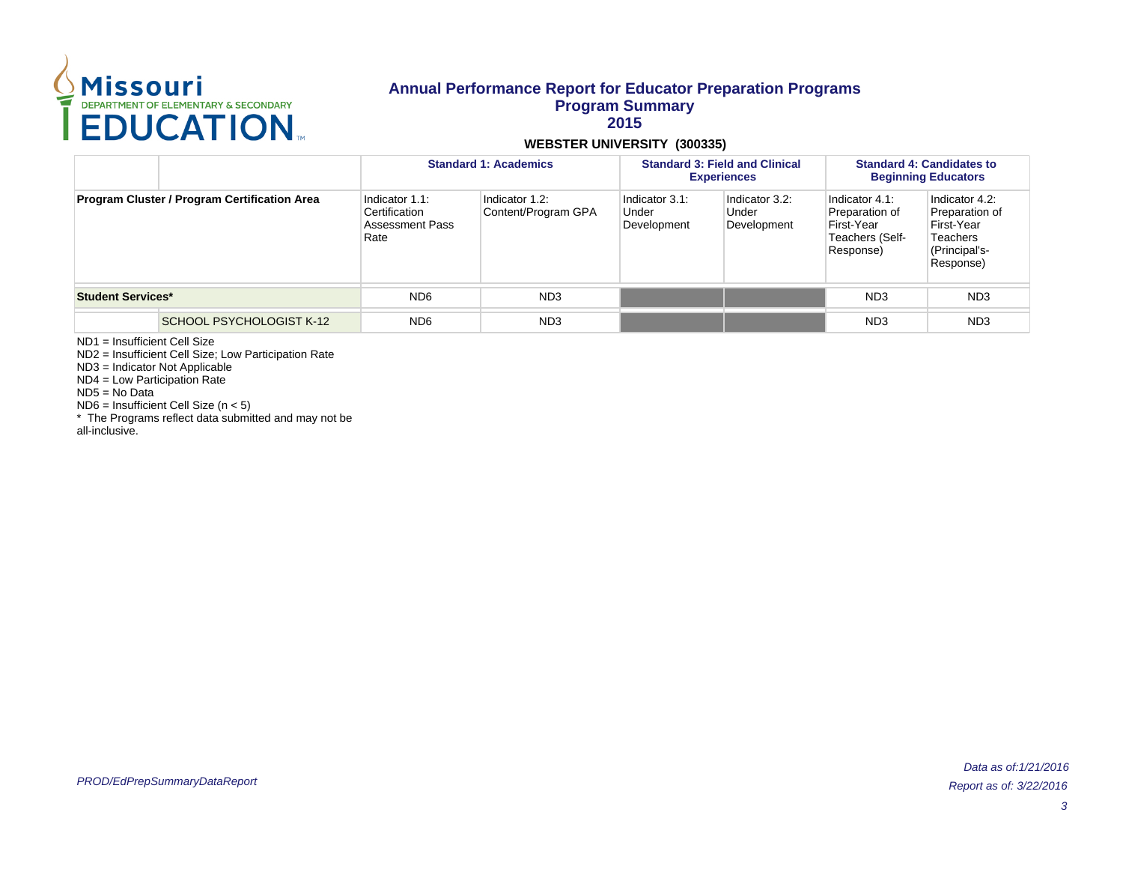

#### **WEBSTER UNIVERSITY (300335)**

|                                              |                          | <b>Standard 1: Academics</b>                               |                                       |                                        | <b>Standard 3: Field and Clinical</b><br><b>Experiences</b> | <b>Standard 4: Candidates to</b><br><b>Beginning Educators</b>                 |                                                                                                 |  |
|----------------------------------------------|--------------------------|------------------------------------------------------------|---------------------------------------|----------------------------------------|-------------------------------------------------------------|--------------------------------------------------------------------------------|-------------------------------------------------------------------------------------------------|--|
| Program Cluster / Program Certification Area |                          | Indicator 1.1:<br>Certification<br>Assessment Pass<br>Rate | Indicator 1.2:<br>Content/Program GPA | Indicator 3.1:<br>Under<br>Development | Indicator 3.2:<br>Under<br>Development                      | Indicator 4.1:<br>Preparation of<br>First-Year<br>Teachers (Self-<br>Response) | Indicator 4.2:<br>Preparation of<br>First-Year<br><b>Teachers</b><br>(Principal's-<br>Response) |  |
| <b>Student Services*</b>                     |                          | ND <sub>6</sub>                                            | ND <sub>3</sub>                       |                                        |                                                             | ND <sub>3</sub>                                                                | ND <sub>3</sub>                                                                                 |  |
|                                              | SCHOOL PSYCHOLOGIST K-12 | ND <sub>6</sub>                                            | ND <sub>3</sub>                       |                                        |                                                             | ND <sub>3</sub>                                                                | ND <sub>3</sub>                                                                                 |  |

ND1 = Insufficient Cell Size

ND2 = Insufficient Cell Size; Low Participation Rate

ND3 = Indicator Not Applicable

ND4 = Low Participation Rate

ND5 = No Data

 $NDS =$  Insufficient Cell Size (n < 5)

\* The Programs reflect data submitted and may not be

all-inclusive.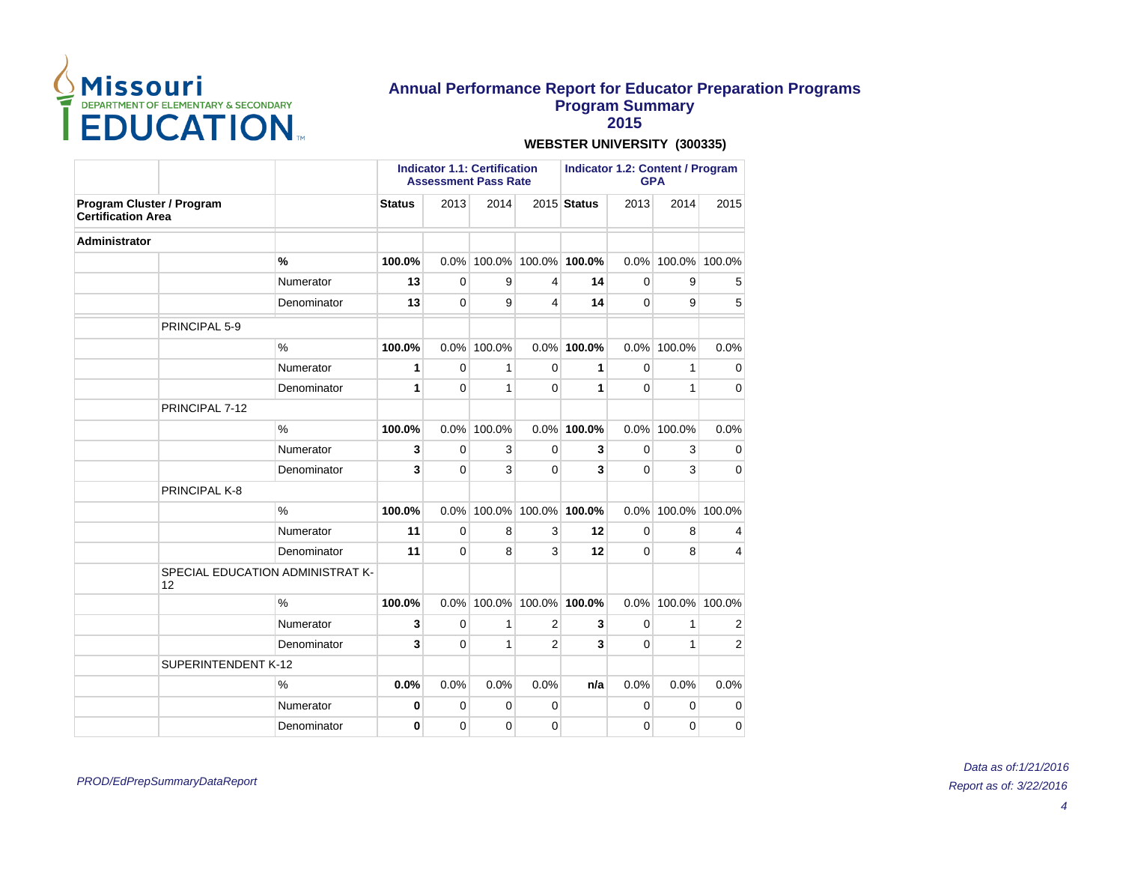

**2015**

|                                                        |                     |                                  | <b>Indicator 1.1: Certification</b><br><b>Assessment Pass Rate</b> |              |              |                | <b>Indicator 1.2: Content / Program</b><br><b>GPA</b> |             |             |                |
|--------------------------------------------------------|---------------------|----------------------------------|--------------------------------------------------------------------|--------------|--------------|----------------|-------------------------------------------------------|-------------|-------------|----------------|
| Program Cluster / Program<br><b>Certification Area</b> |                     |                                  | <b>Status</b>                                                      | 2013         | 2014         |                | 2015 Status                                           | 2013        | 2014        | 2015           |
| <b>Administrator</b>                                   |                     |                                  |                                                                    |              |              |                |                                                       |             |             |                |
|                                                        |                     | %                                | 100.0%                                                             | 0.0%         | 100.0%       |                | 100.0% 100.0%                                         | $0.0\%$     | 100.0%      | 100.0%         |
|                                                        |                     | Numerator                        | 13                                                                 | $\mathbf 0$  | 9            | 4              | 14                                                    | $\mathbf 0$ | 9           | 5              |
|                                                        |                     | Denominator                      | 13                                                                 | $\Omega$     | 9            | 4              | 14                                                    | $\Omega$    | 9           | 5              |
|                                                        | PRINCIPAL 5-9       |                                  |                                                                    |              |              |                |                                                       |             |             |                |
|                                                        |                     | $\%$                             | 100.0%                                                             | 0.0%         | 100.0%       |                | $0.0\%$ 100.0%                                        | 0.0%        | 100.0%      | 0.0%           |
|                                                        |                     | Numerator                        | 1                                                                  | $\mathbf 0$  | $\mathbf{1}$ | $\Omega$       | 1                                                     | $\Omega$    | 1           | 0              |
|                                                        |                     | Denominator                      | 1                                                                  | $\mathbf{0}$ | 1            | 0              | 1                                                     | $\Omega$    | 1           | $\mathbf 0$    |
|                                                        | PRINCIPAL 7-12      |                                  |                                                                    |              |              |                |                                                       |             |             |                |
|                                                        |                     | $\%$                             | 100.0%                                                             | 0.0%         | 100.0%       |                | $0.0\%$ 100.0%                                        | $0.0\%$     | 100.0%      | 0.0%           |
|                                                        |                     | Numerator                        | 3                                                                  | $\Omega$     | 3            | $\Omega$       | 3                                                     | $\Omega$    | 3           | 0              |
|                                                        |                     | Denominator                      | 3                                                                  | 0            | 3            | 0              | 3                                                     | $\Omega$    | 3           | $\mathbf 0$    |
|                                                        | PRINCIPAL K-8       |                                  |                                                                    |              |              |                |                                                       |             |             |                |
|                                                        |                     | $\frac{0}{0}$                    | 100.0%                                                             | 0.0%         | 100.0%       | 100.0%         | 100.0%                                                | 0.0%        | 100.0%      | 100.0%         |
|                                                        |                     | Numerator                        | 11                                                                 | $\mathbf 0$  | 8            | 3              | 12                                                    | $\mathbf 0$ | 8           | 4              |
|                                                        |                     | Denominator                      | 11                                                                 | $\Omega$     | 8            | 3              | 12                                                    | $\Omega$    | 8           | 4              |
|                                                        | 12                  | SPECIAL EDUCATION ADMINISTRAT K- |                                                                    |              |              |                |                                                       |             |             |                |
|                                                        |                     | $\frac{0}{0}$                    | 100.0%                                                             | 0.0%         | 100.0%       | 100.0%         | 100.0%                                                | 0.0%        | 100.0%      | 100.0%         |
|                                                        |                     | Numerator                        | 3                                                                  | $\mathbf 0$  | 1            | $\overline{2}$ | 3                                                     | $\mathbf 0$ | 1           | 2              |
|                                                        |                     | Denominator                      | 3                                                                  | $\mathbf{0}$ | 1            | $\overline{2}$ | 3                                                     | $\Omega$    | 1           | $\overline{2}$ |
|                                                        | SUPERINTENDENT K-12 |                                  |                                                                    |              |              |                |                                                       |             |             |                |
|                                                        |                     | $\%$                             | 0.0%                                                               | 0.0%         | 0.0%         | 0.0%           | n/a                                                   | 0.0%        | 0.0%        | 0.0%           |
|                                                        |                     | Numerator                        | 0                                                                  | $\mathbf 0$  | $\mathbf 0$  | 0              |                                                       | $\mathbf 0$ | $\mathbf 0$ | 0              |
|                                                        |                     | Denominator                      | 0                                                                  | $\mathbf{0}$ | $\Omega$     | 0              |                                                       | $\Omega$    | 0           | 0              |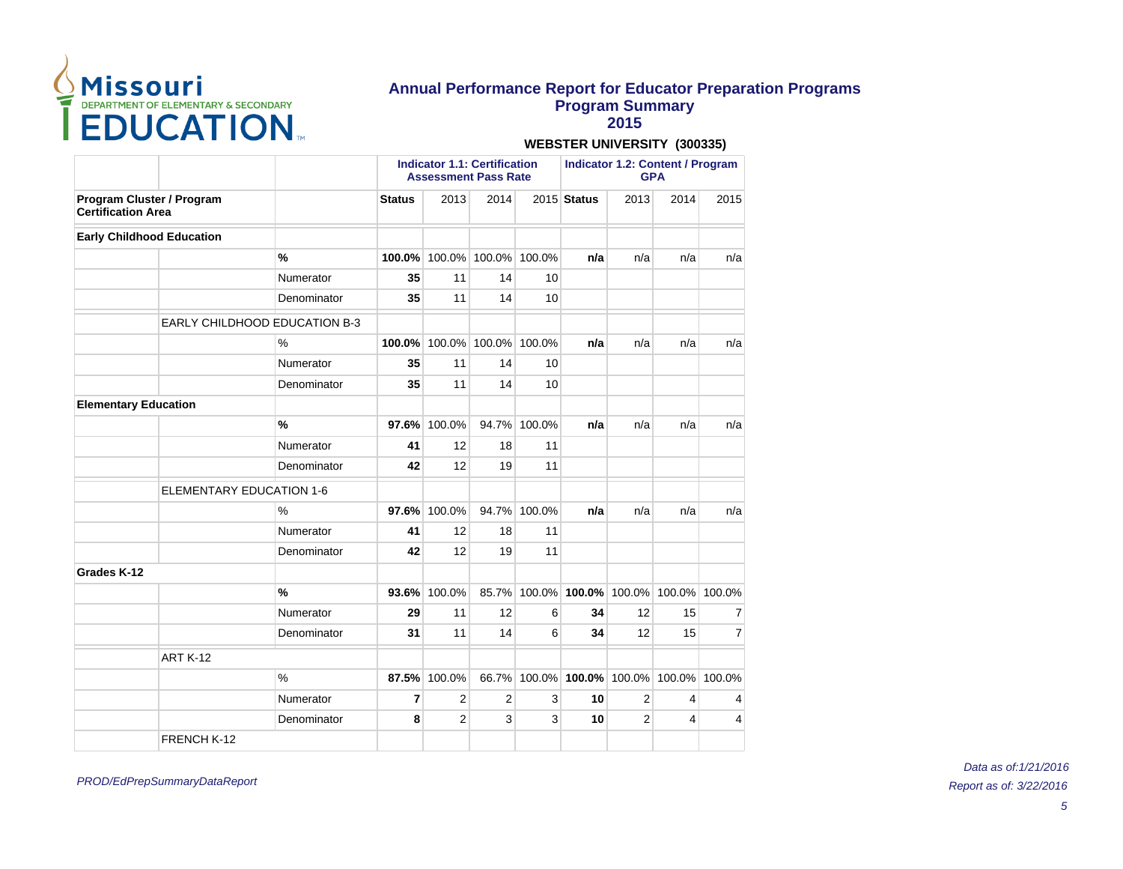

**2015**

|                                                        |                                 |                                      | <b>Indicator 1.1: Certification</b><br><b>Assessment Pass Rate</b> |                             |                      |              |             | <b>Indicator 1.2: Content / Program</b><br><b>GPA</b> |      |      |  |
|--------------------------------------------------------|---------------------------------|--------------------------------------|--------------------------------------------------------------------|-----------------------------|----------------------|--------------|-------------|-------------------------------------------------------|------|------|--|
| Program Cluster / Program<br><b>Certification Area</b> |                                 |                                      | <b>Status</b>                                                      | 2013                        | 2014                 |              | 2015 Status | 2013                                                  | 2014 | 2015 |  |
| <b>Early Childhood Education</b>                       |                                 |                                      |                                                                    |                             |                      |              |             |                                                       |      |      |  |
|                                                        |                                 | %                                    | 100.0%                                                             |                             | 100.0% 100.0% 100.0% |              | n/a         | n/a                                                   | n/a  | n/a  |  |
|                                                        |                                 | Numerator                            | 35                                                                 | 11                          | 14                   | 10           |             |                                                       |      |      |  |
|                                                        |                                 | Denominator                          | 35                                                                 | 11                          | 14                   | 10           |             |                                                       |      |      |  |
|                                                        |                                 | <b>EARLY CHILDHOOD EDUCATION B-3</b> |                                                                    |                             |                      |              |             |                                                       |      |      |  |
|                                                        |                                 | $\frac{0}{0}$                        |                                                                    | 100.0% 100.0% 100.0% 100.0% |                      |              | n/a         | n/a                                                   | n/a  | n/a  |  |
|                                                        |                                 | Numerator                            | 35                                                                 | 11                          | 14                   | 10           |             |                                                       |      |      |  |
|                                                        |                                 | Denominator                          | 35                                                                 | 11                          | 14                   | 10           |             |                                                       |      |      |  |
| <b>Elementary Education</b>                            |                                 |                                      |                                                                    |                             |                      |              |             |                                                       |      |      |  |
|                                                        |                                 | %                                    | 97.6%                                                              | 100.0%                      |                      | 94.7% 100.0% | n/a         | n/a                                                   | n/a  | n/a  |  |
|                                                        |                                 | Numerator                            | 41                                                                 | 12                          | 18                   | 11           |             |                                                       |      |      |  |
|                                                        |                                 | Denominator                          | 42                                                                 | 12                          | 19                   | 11           |             |                                                       |      |      |  |
|                                                        | <b>ELEMENTARY EDUCATION 1-6</b> |                                      |                                                                    |                             |                      |              |             |                                                       |      |      |  |
|                                                        |                                 | $\%$                                 |                                                                    | 97.6% 100.0%                |                      | 94.7% 100.0% | n/a         | n/a                                                   | n/a  | n/a  |  |
|                                                        |                                 | Numerator                            | 41                                                                 | 12                          | 18                   | 11           |             |                                                       |      |      |  |
|                                                        |                                 | Denominator                          | 42                                                                 | 12                          | 19                   | 11           |             |                                                       |      |      |  |
| Grades K-12                                            |                                 |                                      |                                                                    |                             |                      |              |             |                                                       |      |      |  |
|                                                        |                                 | $\frac{9}{6}$                        |                                                                    | 93.6% 100.0%                |                      |              |             | 85.7% 100.0% 100.0% 100.0% 100.0% 100.0%              |      |      |  |
|                                                        |                                 | Numerator                            | 29                                                                 | 11                          | 12                   | 6            | 34          | 12                                                    | 15   | 7    |  |
|                                                        |                                 | Denominator                          | 31                                                                 | 11                          | 14                   | 6            | 34          | 12                                                    | 15   | 7    |  |
|                                                        | <b>ART K-12</b>                 |                                      |                                                                    |                             |                      |              |             |                                                       |      |      |  |
|                                                        |                                 | $\%$                                 |                                                                    | 87.5% 100.0%                |                      |              |             | 66.7% 100.0% 100.0% 100.0% 100.0% 100.0%              |      |      |  |
|                                                        |                                 | Numerator                            | $\overline{7}$                                                     | $\overline{2}$              | $\overline{2}$       | 3            | 10          | 2                                                     | 4    | 4    |  |
|                                                        |                                 | Denominator                          | 8                                                                  | $\overline{2}$              | 3                    | 3            | 10          | $\overline{2}$                                        | 4    | 4    |  |
|                                                        | FRENCH K-12                     |                                      |                                                                    |                             |                      |              |             |                                                       |      |      |  |

#### **WEBSTER UNIVERSITY (300335)**

PROD/EdPrepSummaryDataReport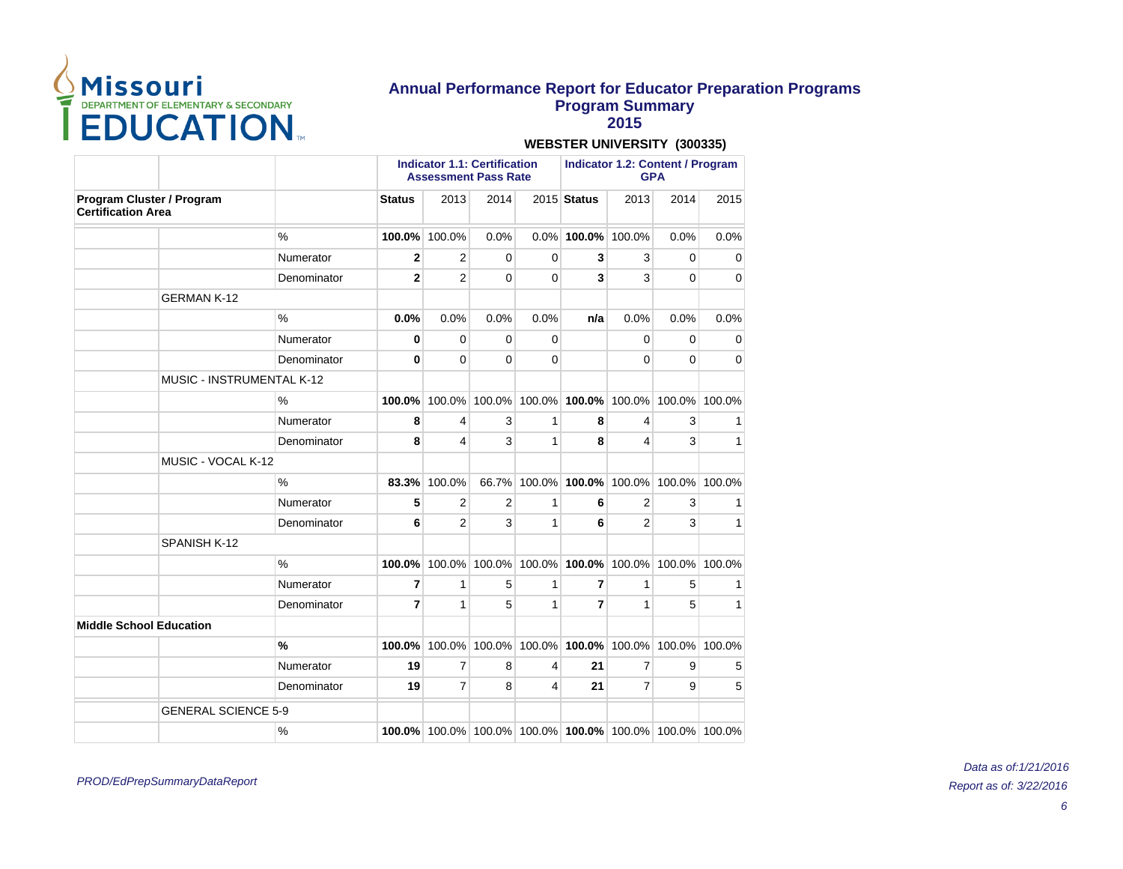

**2015**

# **WEBSTER UNIVERSITY (300335)**

|                                |                            |               | <b>Indicator 1.1: Certification</b><br><b>Assessment Pass Rate</b> |                                                         |                                           |          |                       |                             | <b>Indicator 1.2: Content / Program</b><br><b>GPA</b> |               |  |  |
|--------------------------------|----------------------------|---------------|--------------------------------------------------------------------|---------------------------------------------------------|-------------------------------------------|----------|-----------------------|-----------------------------|-------------------------------------------------------|---------------|--|--|
| <b>Certification Area</b>      | Program Cluster / Program  |               | <b>Status</b>                                                      | 2013                                                    | 2014                                      |          | 2015 Status           | 2013                        | 2014                                                  | 2015          |  |  |
|                                |                            | %             | 100.0%                                                             | 100.0%                                                  | 0.0%                                      |          | $0.0\%$ 100.0% 100.0% |                             | 0.0%                                                  | 0.0%          |  |  |
|                                |                            | Numerator     | $\overline{2}$                                                     | $\overline{2}$                                          | $\mathbf 0$                               | 0        | 3                     | 3                           | 0                                                     | 0             |  |  |
|                                |                            | Denominator   | $\mathbf{2}$                                                       | $\overline{2}$                                          | $\Omega$                                  | $\Omega$ | 3                     | 3                           | $\Omega$                                              | 0             |  |  |
|                                | <b>GERMAN K-12</b>         |               |                                                                    |                                                         |                                           |          |                       |                             |                                                       |               |  |  |
|                                |                            | $\frac{0}{0}$ | 0.0%                                                               | 0.0%                                                    | 0.0%                                      | 0.0%     | n/a                   | 0.0%                        | 0.0%                                                  | 0.0%          |  |  |
|                                |                            | Numerator     | 0                                                                  | $\Omega$                                                | $\Omega$                                  | $\Omega$ |                       | $\Omega$                    | $\Omega$                                              | $\Omega$      |  |  |
|                                |                            | Denominator   | 0                                                                  | 0                                                       | $\mathbf 0$                               | 0        |                       | $\Omega$                    | 0                                                     | $\mathbf 0$   |  |  |
|                                | MUSIC - INSTRUMENTAL K-12  |               |                                                                    |                                                         |                                           |          |                       |                             |                                                       |               |  |  |
|                                |                            | $\%$          | 100.0%                                                             | 100.0%                                                  |                                           |          |                       | 100.0% 100.0% 100.0% 100.0% |                                                       | 100.0% 100.0% |  |  |
|                                |                            | Numerator     | 8                                                                  | 4                                                       | 3                                         | 1        | 8                     | 4                           | 3                                                     | 1             |  |  |
|                                |                            | Denominator   | 8                                                                  | 4                                                       | 3                                         | 1        | 8                     | 4                           | 3                                                     | 1             |  |  |
|                                | MUSIC - VOCAL K-12         |               |                                                                    |                                                         |                                           |          |                       |                             |                                                       |               |  |  |
|                                |                            | $\%$          | 83.3%                                                              | 100.0%                                                  | 66.7%                                     |          | 100.0% 100.0%         | 100.0%                      |                                                       | 100.0% 100.0% |  |  |
|                                |                            | Numerator     | 5                                                                  | 2                                                       | 2                                         | 1        | 6                     | $\overline{2}$              | 3                                                     | 1             |  |  |
|                                |                            | Denominator   | 6                                                                  | $\overline{2}$                                          | 3                                         | 1        | 6                     | $\overline{2}$              | 3                                                     | 1             |  |  |
|                                | SPANISH K-12               |               |                                                                    |                                                         |                                           |          |                       |                             |                                                       |               |  |  |
|                                |                            | $\frac{0}{0}$ | 100.0%                                                             |                                                         | 100.0% 100.0% 100.0% 100.0% 100.0% 100.0% |          |                       |                             |                                                       | 100.0%        |  |  |
|                                |                            | Numerator     | $\overline{7}$                                                     | 1                                                       | 5                                         | 1        | 7                     | 1                           | 5                                                     | 1             |  |  |
|                                |                            | Denominator   | $\overline{7}$                                                     | 1                                                       | 5                                         | 1        | $\overline{7}$        | 1                           | 5                                                     | 1             |  |  |
| <b>Middle School Education</b> |                            |               |                                                                    |                                                         |                                           |          |                       |                             |                                                       |               |  |  |
|                                |                            | $\frac{0}{0}$ | 100.0%                                                             | 100.0%                                                  | 100.0%                                    |          |                       | 100.0% 100.0% 100.0%        |                                                       | 100.0% 100.0% |  |  |
|                                |                            | Numerator     | 19                                                                 | 7                                                       | 8                                         | 4        | 21                    | $\overline{7}$              | 9                                                     | 5             |  |  |
|                                |                            | Denominator   | 19                                                                 | $\overline{7}$                                          | 8                                         | 4        | 21                    | $\overline{7}$              | 9                                                     | 5             |  |  |
|                                | <b>GENERAL SCIENCE 5-9</b> |               |                                                                    |                                                         |                                           |          |                       |                             |                                                       |               |  |  |
|                                |                            | %             |                                                                    | 100.0% 100.0% 100.0% 100.0% 100.0% 100.0% 100.0% 100.0% |                                           |          |                       |                             |                                                       |               |  |  |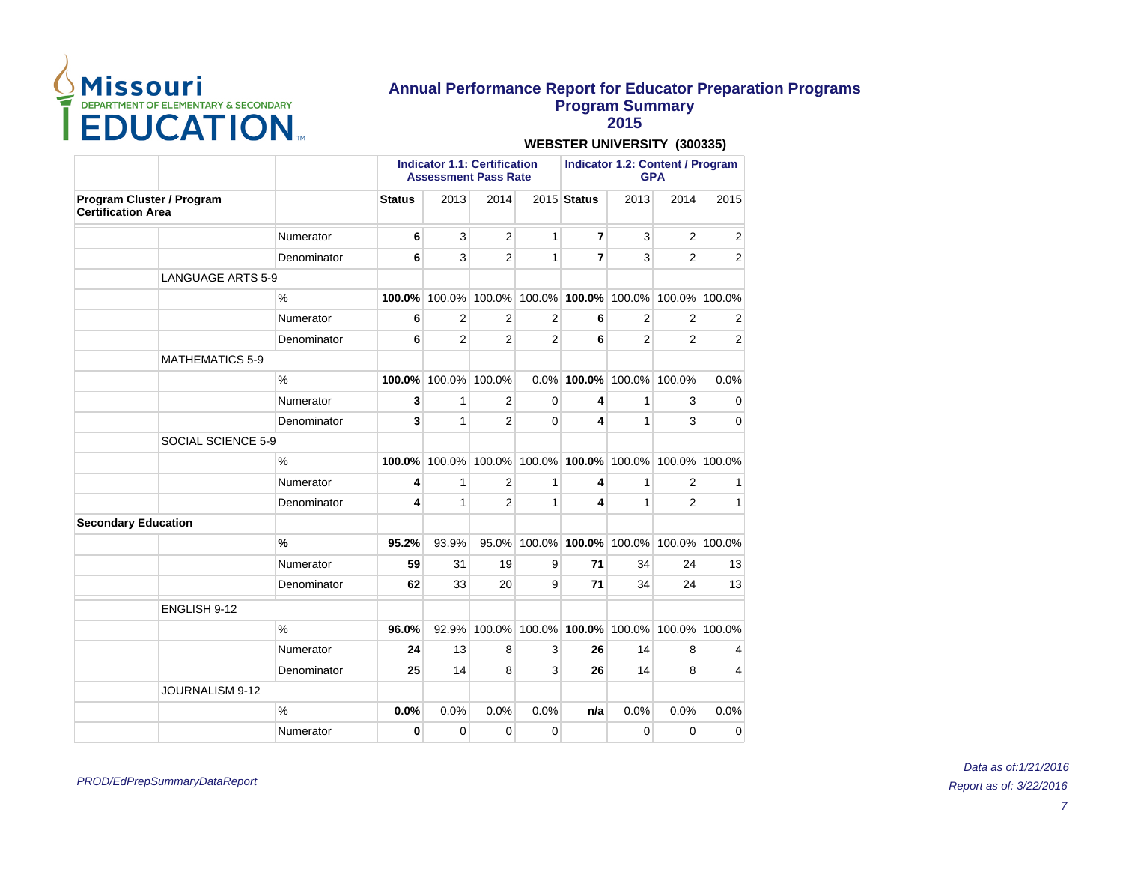

**2015**

|                                                        |             | <b>Indicator 1.1: Certification</b><br><b>Assessment Pass Rate</b> |                |                |                |                                                  |                | <b>Indicator 1.2: Content / Program</b><br><b>GPA</b> |                |  |  |
|--------------------------------------------------------|-------------|--------------------------------------------------------------------|----------------|----------------|----------------|--------------------------------------------------|----------------|-------------------------------------------------------|----------------|--|--|
| Program Cluster / Program<br><b>Certification Area</b> |             | <b>Status</b>                                                      | 2013           | 2014           |                | 2015 Status                                      | 2013           | 2014                                                  | 2015           |  |  |
|                                                        | Numerator   | 6                                                                  | 3              | 2              | $\mathbf{1}$   | 7                                                | 3              | 2                                                     | 2              |  |  |
|                                                        | Denominator | 6                                                                  | 3              | $\overline{2}$ | 1              | $\overline{7}$                                   | 3              | $\overline{2}$                                        | $\overline{2}$ |  |  |
| <b>LANGUAGE ARTS 5-9</b>                               |             |                                                                    |                |                |                |                                                  |                |                                                       |                |  |  |
|                                                        | $\%$        | 100.0%                                                             |                |                |                | 100.0% 100.0% 100.0% 100.0% 100.0% 100.0% 100.0% |                |                                                       |                |  |  |
|                                                        | Numerator   | 6                                                                  | 2              | 2              | 2              | 6                                                | $\overline{2}$ | 2                                                     | 2              |  |  |
|                                                        | Denominator | 6                                                                  | $\overline{2}$ | $\overline{2}$ | $\overline{2}$ | 6                                                | $\overline{2}$ | 2                                                     | 2              |  |  |
| <b>MATHEMATICS 5-9</b>                                 |             |                                                                    |                |                |                |                                                  |                |                                                       |                |  |  |
|                                                        | $\%$        | 100.0%                                                             | 100.0% 100.0%  |                |                | 0.0% 100.0% 100.0% 100.0%                        |                |                                                       | 0.0%           |  |  |
|                                                        | Numerator   | 3                                                                  | 1              | 2              | 0              | 4                                                | 1              | 3                                                     | 0              |  |  |
|                                                        | Denominator | 3                                                                  | $\mathbf{1}$   | $\overline{2}$ | $\Omega$       | 4                                                | 1              | 3                                                     | $\Omega$       |  |  |
| SOCIAL SCIENCE 5-9                                     |             |                                                                    |                |                |                |                                                  |                |                                                       |                |  |  |
|                                                        | %           | 100.0%                                                             |                |                |                | 100.0% 100.0% 100.0% 100.0% 100.0% 100.0% 100.0% |                |                                                       |                |  |  |
|                                                        | Numerator   | 4                                                                  | 1              | $\overline{2}$ | 1              | 4                                                | 1              | $\overline{2}$                                        | 1              |  |  |
|                                                        | Denominator | 4                                                                  | 1              | 2              | 1              | 4                                                | 1              | 2                                                     | 1              |  |  |
| <b>Secondary Education</b>                             |             |                                                                    |                |                |                |                                                  |                |                                                       |                |  |  |
|                                                        | $\%$        | 95.2%                                                              | 93.9%          | 95.0%          |                | 100.0% 100.0% 100.0% 100.0% 100.0%               |                |                                                       |                |  |  |
|                                                        | Numerator   | 59                                                                 | 31             | 19             | 9              | 71                                               | 34             | 24                                                    | 13             |  |  |
|                                                        | Denominator | 62                                                                 | 33             | 20             | 9              | 71                                               | 34             | 24                                                    | 13             |  |  |
| ENGLISH 9-12                                           |             |                                                                    |                |                |                |                                                  |                |                                                       |                |  |  |
|                                                        | $\%$        | 96.0%                                                              | 92.9%          |                |                | 100.0% 100.0% 100.0% 100.0% 100.0% 100.0%        |                |                                                       |                |  |  |
|                                                        | Numerator   | 24                                                                 | 13             | 8              | 3              | 26                                               | 14             | 8                                                     | 4              |  |  |
|                                                        | Denominator | 25                                                                 | 14             | 8              | 3              | 26                                               | 14             | 8                                                     | 4              |  |  |
| JOURNALISM 9-12                                        |             |                                                                    |                |                |                |                                                  |                |                                                       |                |  |  |
|                                                        | $\%$        | 0.0%                                                               | 0.0%           | 0.0%           | 0.0%           | n/a                                              | 0.0%           | 0.0%                                                  | 0.0%           |  |  |
|                                                        | Numerator   | 0                                                                  | 0              | $\Omega$       | 0              |                                                  | $\Omega$       | $\Omega$                                              | 0              |  |  |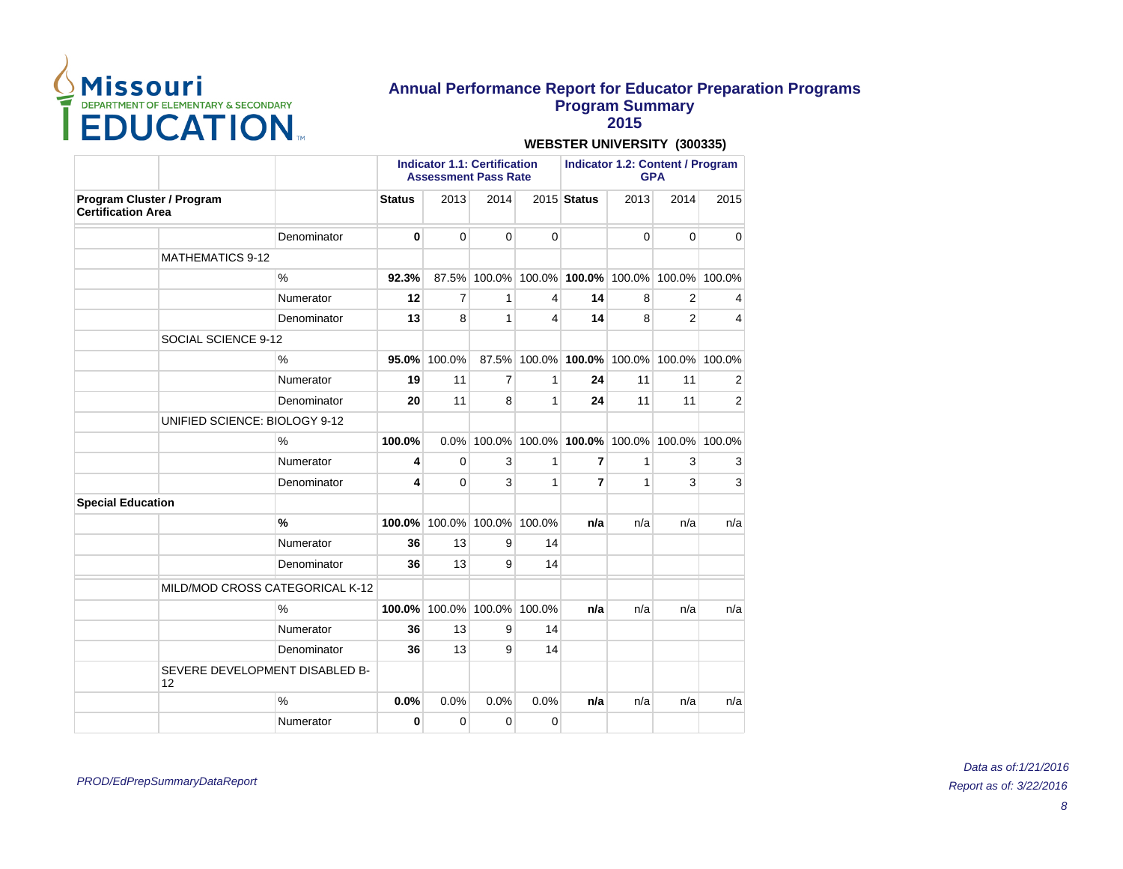

**2015**

|                                                        |                                 | <b>Indicator 1.1: Certification</b><br><b>Assessment Pass Rate</b> |              |                |             | <b>Indicator 1.2: Content / Program</b><br><b>GPA</b> |             |                |                |
|--------------------------------------------------------|---------------------------------|--------------------------------------------------------------------|--------------|----------------|-------------|-------------------------------------------------------|-------------|----------------|----------------|
| Program Cluster / Program<br><b>Certification Area</b> |                                 | <b>Status</b>                                                      | 2013         | 2014           |             | 2015 Status                                           | 2013        | 2014           | 2015           |
|                                                        | Denominator                     | 0                                                                  | 0            | $\mathbf 0$    | $\mathbf 0$ |                                                       | $\mathbf 0$ | $\Omega$       | 0              |
| <b>MATHEMATICS 9-12</b>                                |                                 |                                                                    |              |                |             |                                                       |             |                |                |
|                                                        | $\frac{0}{0}$                   | 92.3%                                                              |              |                |             | 87.5% 100.0% 100.0% 100.0% 100.0% 100.0%              |             |                | 100.0%         |
|                                                        | Numerator                       | 12                                                                 | 7            | 1              | 4           | 14                                                    | 8           | $\overline{2}$ | 4              |
|                                                        | Denominator                     | 13                                                                 | 8            | 1              | 4           | 14                                                    | 8           | $\overline{2}$ | 4              |
| SOCIAL SCIENCE 9-12                                    |                                 |                                                                    |              |                |             |                                                       |             |                |                |
|                                                        | $\%$                            | 95.0%                                                              | 100.0%       | 87.5%          |             | 100.0% 100.0% 100.0%                                  |             | 100.0% 100.0%  |                |
|                                                        | Numerator                       | 19                                                                 | 11           | $\overline{7}$ | 1           | 24                                                    | 11          | 11             | 2              |
|                                                        | Denominator                     | 20                                                                 | 11           | 8              | 1           | 24                                                    | 11          | 11             | $\overline{2}$ |
| UNIFIED SCIENCE: BIOLOGY 9-12                          |                                 |                                                                    |              |                |             |                                                       |             |                |                |
|                                                        | $\frac{0}{0}$                   | 100.0%                                                             | 0.0%         |                |             | 100.0% 100.0% 100.0% 100.0%                           |             |                | 100.0% 100.0%  |
|                                                        | Numerator                       | 4                                                                  | $\Omega$     | 3              | 1           | $\overline{7}$                                        | 1           | 3              | 3              |
|                                                        | Denominator                     | 4                                                                  | $\mathbf{0}$ | 3              | 1           | 7                                                     | 1           | 3              | 3              |
| <b>Special Education</b>                               |                                 |                                                                    |              |                |             |                                                       |             |                |                |
|                                                        | $\%$                            | 100.0%                                                             | 100.0%       | 100.0%         | 100.0%      | n/a                                                   | n/a         | n/a            | n/a            |
|                                                        | Numerator                       | 36                                                                 | 13           | 9              | 14          |                                                       |             |                |                |
|                                                        | Denominator                     | 36                                                                 | 13           | 9              | 14          |                                                       |             |                |                |
|                                                        | MILD/MOD CROSS CATEGORICAL K-12 |                                                                    |              |                |             |                                                       |             |                |                |
|                                                        | $\%$                            | 100.0%                                                             | 100.0%       | 100.0%         | 100.0%      | n/a                                                   | n/a         | n/a            | n/a            |
|                                                        | Numerator                       | 36                                                                 | 13           | 9              | 14          |                                                       |             |                |                |
|                                                        | Denominator                     | 36                                                                 | 13           | 9              | 14          |                                                       |             |                |                |
| 12                                                     | SEVERE DEVELOPMENT DISABLED B-  |                                                                    |              |                |             |                                                       |             |                |                |
|                                                        | $\%$                            | 0.0%                                                               | 0.0%         | 0.0%           | 0.0%        | n/a                                                   | n/a         | n/a            | n/a            |
|                                                        | Numerator                       | $\bf{0}$                                                           | $\Omega$     | $\Omega$       | $\Omega$    |                                                       |             |                |                |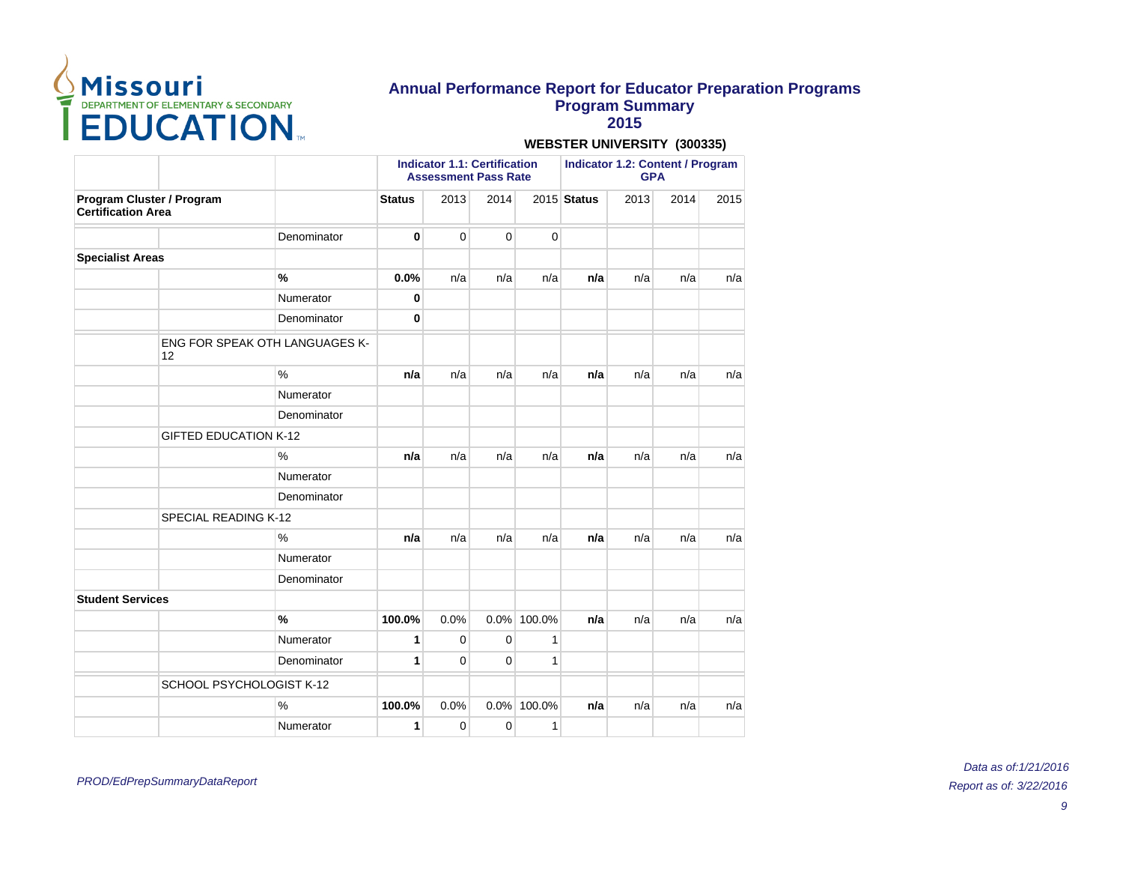

**2015**

|                           |                                             |               | <b>Indicator 1.1: Certification</b><br><b>Assessment Pass Rate</b> |             |             |              | <b>Indicator 1.2: Content / Program</b><br><b>GPA</b> |      |      |      |
|---------------------------|---------------------------------------------|---------------|--------------------------------------------------------------------|-------------|-------------|--------------|-------------------------------------------------------|------|------|------|
| <b>Certification Area</b> | Program Cluster / Program                   |               | <b>Status</b>                                                      | 2013        | 2014        |              | 2015 Status                                           | 2013 | 2014 | 2015 |
|                           |                                             | Denominator   | 0                                                                  | $\mathbf 0$ | $\mathbf 0$ | 0            |                                                       |      |      |      |
| <b>Specialist Areas</b>   |                                             |               |                                                                    |             |             |              |                                                       |      |      |      |
|                           |                                             | $\frac{9}{6}$ | 0.0%                                                               | n/a         | n/a         | n/a          | n/a                                                   | n/a  | n/a  | n/a  |
|                           |                                             | Numerator     | 0                                                                  |             |             |              |                                                       |      |      |      |
|                           |                                             | Denominator   | 0                                                                  |             |             |              |                                                       |      |      |      |
|                           | <b>ENG FOR SPEAK OTH LANGUAGES K-</b><br>12 |               |                                                                    |             |             |              |                                                       |      |      |      |
|                           |                                             | $\%$          | n/a                                                                | n/a         | n/a         | n/a          | n/a                                                   | n/a  | n/a  | n/a  |
|                           |                                             | Numerator     |                                                                    |             |             |              |                                                       |      |      |      |
|                           |                                             | Denominator   |                                                                    |             |             |              |                                                       |      |      |      |
|                           | <b>GIFTED EDUCATION K-12</b>                |               |                                                                    |             |             |              |                                                       |      |      |      |
|                           |                                             | $\frac{0}{0}$ | n/a                                                                | n/a         | n/a         | n/a          | n/a                                                   | n/a  | n/a  | n/a  |
|                           |                                             | Numerator     |                                                                    |             |             |              |                                                       |      |      |      |
|                           |                                             | Denominator   |                                                                    |             |             |              |                                                       |      |      |      |
|                           | SPECIAL READING K-12                        |               |                                                                    |             |             |              |                                                       |      |      |      |
|                           |                                             | $\frac{0}{0}$ | n/a                                                                | n/a         | n/a         | n/a          | n/a                                                   | n/a  | n/a  | n/a  |
|                           |                                             | Numerator     |                                                                    |             |             |              |                                                       |      |      |      |
|                           |                                             | Denominator   |                                                                    |             |             |              |                                                       |      |      |      |
| <b>Student Services</b>   |                                             |               |                                                                    |             |             |              |                                                       |      |      |      |
|                           |                                             | $\frac{9}{6}$ | 100.0%                                                             | 0.0%        |             | 0.0% 100.0%  | n/a                                                   | n/a  | n/a  | n/a  |
|                           |                                             | Numerator     | 1                                                                  | 0           | $\mathbf 0$ | 1            |                                                       |      |      |      |
|                           |                                             | Denominator   | 1                                                                  | $\mathbf 0$ | $\Omega$    | $\mathbf{1}$ |                                                       |      |      |      |
|                           | SCHOOL PSYCHOLOGIST K-12                    |               |                                                                    |             |             |              |                                                       |      |      |      |
|                           |                                             | $\frac{0}{0}$ | 100.0%                                                             | 0.0%        | $0.0\%$     | 100.0%       | n/a                                                   | n/a  | n/a  | n/a  |
|                           |                                             | Numerator     | 1                                                                  | $\Omega$    | $\Omega$    | 1            |                                                       |      |      |      |

**WEBSTER UNIVERSITY (300335)**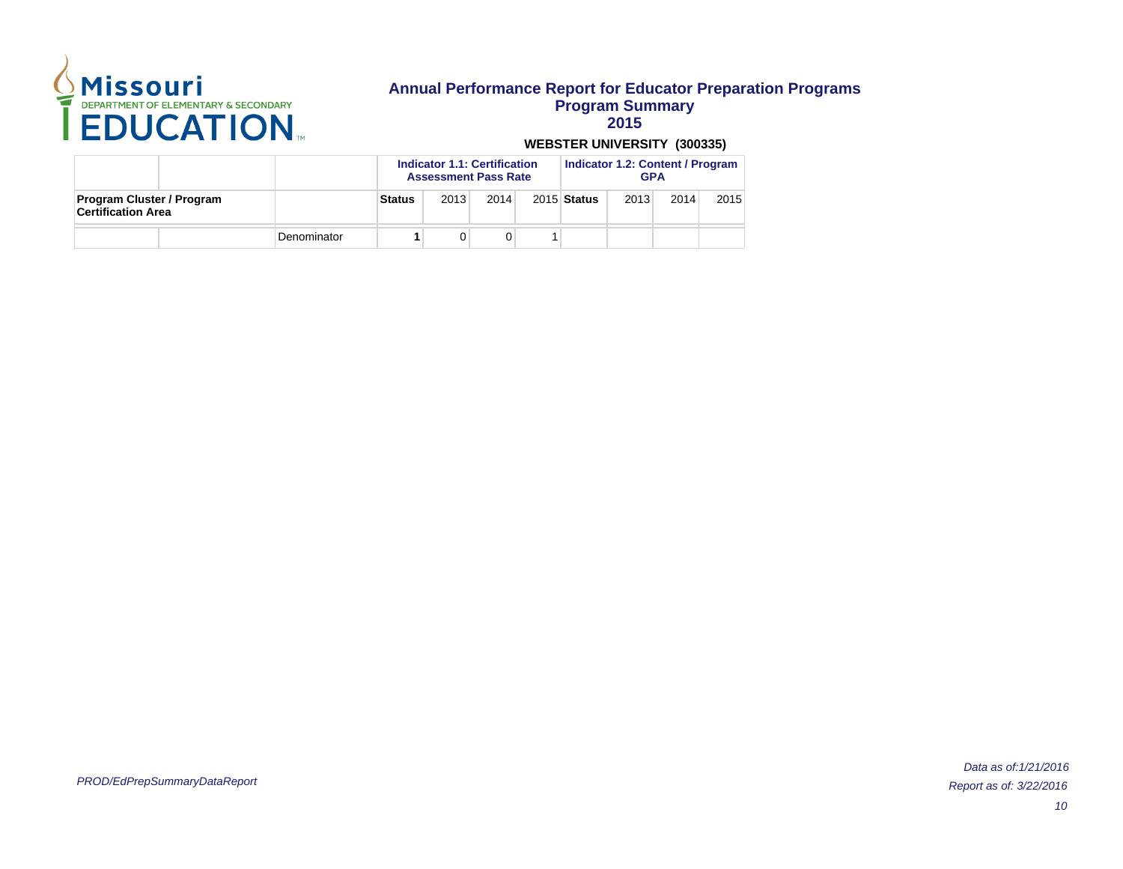

**2015**

|                                                               |  |             |               | <b>Indicator 1.1: Certification</b><br><b>Assessment Pass Rate</b> |      |  |             | <b>Indicator 1.2: Content / Program</b><br><b>GPA</b> |      |      |  |
|---------------------------------------------------------------|--|-------------|---------------|--------------------------------------------------------------------|------|--|-------------|-------------------------------------------------------|------|------|--|
| <b>Program Cluster / Program</b><br><b>Certification Area</b> |  |             | <b>Status</b> | 2013                                                               | 2014 |  | 2015 Status | 2013                                                  | 2014 | 2015 |  |
|                                                               |  | Denominator |               |                                                                    |      |  |             |                                                       |      |      |  |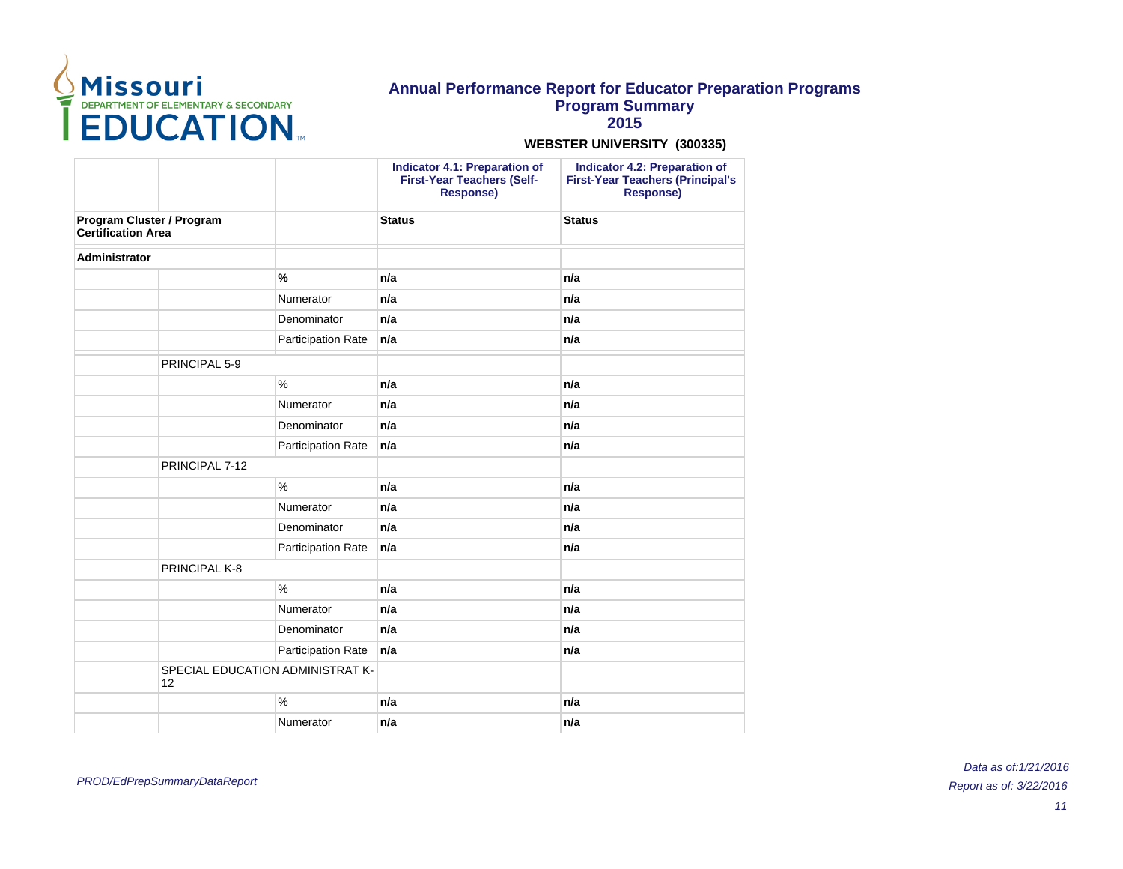

**2015**

|                                                        |                                        |                    | <b>Indicator 4.1: Preparation of</b><br><b>First-Year Teachers (Self-</b><br><b>Response)</b> | <b>Indicator 4.2: Preparation of</b><br><b>First-Year Teachers (Principal's</b><br><b>Response)</b> |
|--------------------------------------------------------|----------------------------------------|--------------------|-----------------------------------------------------------------------------------------------|-----------------------------------------------------------------------------------------------------|
| Program Cluster / Program<br><b>Certification Area</b> |                                        |                    | <b>Status</b>                                                                                 | <b>Status</b>                                                                                       |
| <b>Administrator</b>                                   |                                        |                    |                                                                                               |                                                                                                     |
|                                                        |                                        | $\frac{9}{6}$      | n/a                                                                                           | n/a                                                                                                 |
|                                                        |                                        | Numerator          | n/a                                                                                           | n/a                                                                                                 |
|                                                        |                                        | Denominator        | n/a                                                                                           | n/a                                                                                                 |
|                                                        |                                        | Participation Rate | n/a                                                                                           | n/a                                                                                                 |
|                                                        | PRINCIPAL 5-9                          |                    |                                                                                               |                                                                                                     |
|                                                        |                                        | $\frac{0}{0}$      | n/a                                                                                           | n/a                                                                                                 |
|                                                        |                                        | Numerator          | n/a                                                                                           | n/a                                                                                                 |
|                                                        |                                        | Denominator        | n/a                                                                                           | n/a                                                                                                 |
|                                                        |                                        | Participation Rate | n/a                                                                                           | n/a                                                                                                 |
|                                                        | PRINCIPAL 7-12                         |                    |                                                                                               |                                                                                                     |
|                                                        |                                        | $\%$               | n/a                                                                                           | n/a                                                                                                 |
|                                                        |                                        | Numerator          | n/a                                                                                           | n/a                                                                                                 |
|                                                        |                                        | Denominator        | n/a                                                                                           | n/a                                                                                                 |
|                                                        |                                        | Participation Rate | n/a                                                                                           | n/a                                                                                                 |
|                                                        | PRINCIPAL K-8                          |                    |                                                                                               |                                                                                                     |
|                                                        |                                        | $\%$               | n/a                                                                                           | n/a                                                                                                 |
|                                                        |                                        | Numerator          | n/a                                                                                           | n/a                                                                                                 |
|                                                        |                                        | Denominator        | n/a                                                                                           | n/a                                                                                                 |
|                                                        |                                        | Participation Rate | n/a                                                                                           | n/a                                                                                                 |
|                                                        | SPECIAL EDUCATION ADMINISTRAT K-<br>12 |                    |                                                                                               |                                                                                                     |
|                                                        |                                        | $\%$               | n/a                                                                                           | n/a                                                                                                 |
|                                                        |                                        | Numerator          | n/a                                                                                           | n/a                                                                                                 |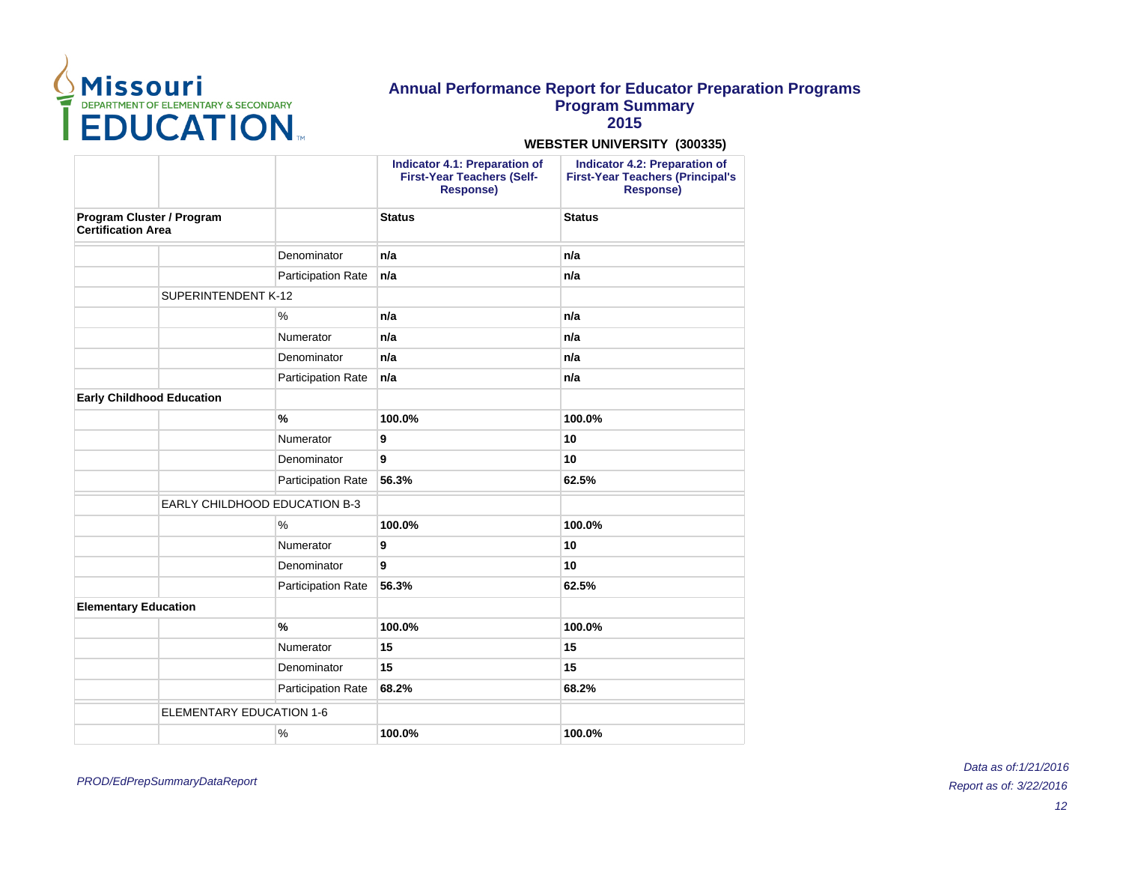

**2015**

#### **WEBSTER UNIVERSITY (300335)**

|                           | Indicator 4.1: Preparation of<br><b>First-Year Teachers (Self-</b><br><b>Response)</b>  | Indicator 4.2: Preparation of<br><b>First-Year Teachers (Principal's</b><br><b>Response)</b> |
|---------------------------|-----------------------------------------------------------------------------------------|----------------------------------------------------------------------------------------------|
|                           | <b>Status</b>                                                                           | <b>Status</b>                                                                                |
| Denominator               | n/a                                                                                     | n/a                                                                                          |
| <b>Participation Rate</b> | n/a                                                                                     | n/a                                                                                          |
|                           |                                                                                         |                                                                                              |
| %                         | n/a                                                                                     | n/a                                                                                          |
| Numerator                 | n/a                                                                                     | n/a                                                                                          |
| Denominator               | n/a                                                                                     | n/a                                                                                          |
| Participation Rate        | n/a                                                                                     | n/a                                                                                          |
|                           |                                                                                         |                                                                                              |
| $\frac{9}{6}$             | 100.0%                                                                                  | 100.0%                                                                                       |
| Numerator                 | 9                                                                                       | 10                                                                                           |
| Denominator               | 9                                                                                       | 10                                                                                           |
| Participation Rate        | 56.3%                                                                                   | 62.5%                                                                                        |
|                           |                                                                                         |                                                                                              |
| $\%$                      | 100.0%                                                                                  | 100.0%                                                                                       |
| Numerator                 | 9                                                                                       | 10                                                                                           |
| Denominator               | 9                                                                                       | 10                                                                                           |
| Participation Rate        | 56.3%                                                                                   | 62.5%                                                                                        |
|                           |                                                                                         |                                                                                              |
| $\frac{9}{6}$             | 100.0%                                                                                  | 100.0%                                                                                       |
| Numerator                 | 15                                                                                      | 15                                                                                           |
| Denominator               | 15                                                                                      | 15                                                                                           |
| Participation Rate        | 68.2%                                                                                   | 68.2%                                                                                        |
|                           |                                                                                         |                                                                                              |
| $\%$                      | 100.0%                                                                                  | 100.0%                                                                                       |
|                           | SUPERINTENDENT K-12<br><b>EARLY CHILDHOOD EDUCATION B-3</b><br>ELEMENTARY EDUCATION 1-6 |                                                                                              |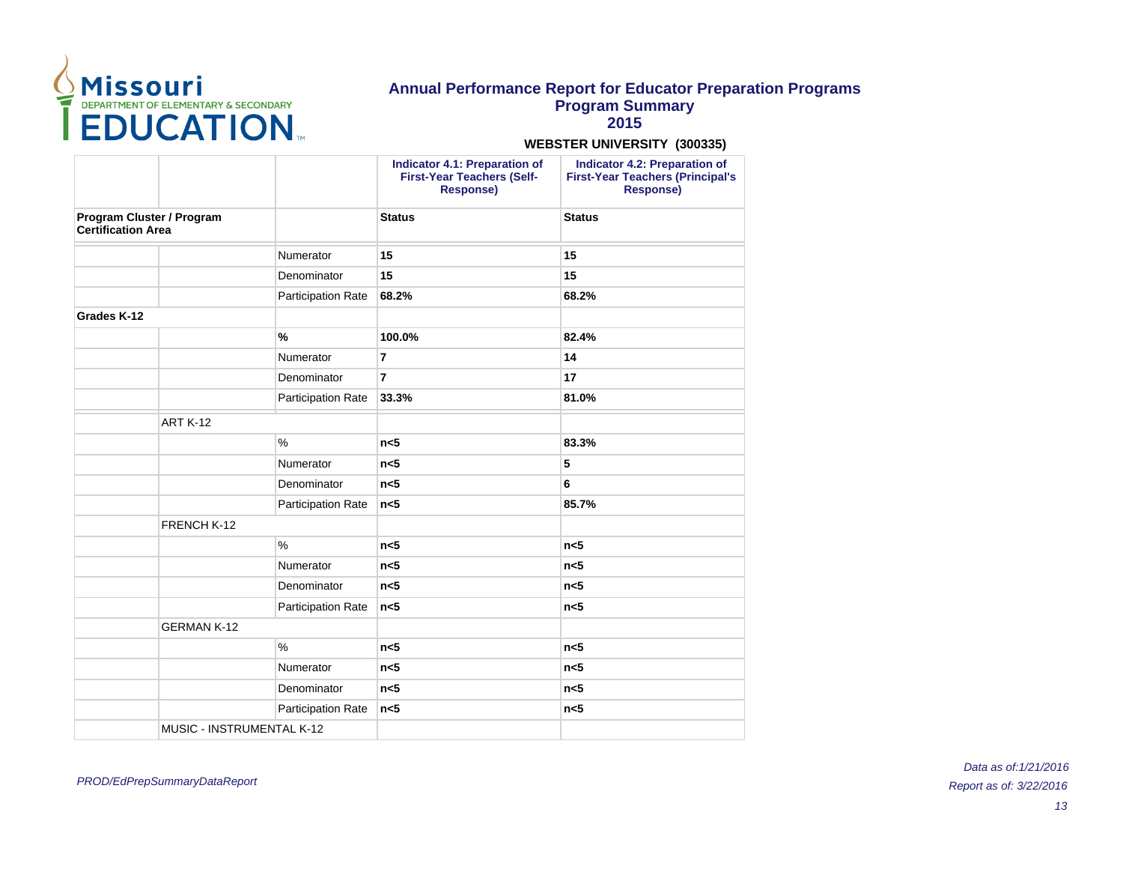

**2015**

### **WEBSTER UNIVERSITY (300335)**

|                                                        |                           | <b>Indicator 4.1: Preparation of</b><br><b>First-Year Teachers (Self-</b><br><b>Response)</b> | <b>Indicator 4.2: Preparation of</b><br><b>First-Year Teachers (Principal's</b><br>Response) |
|--------------------------------------------------------|---------------------------|-----------------------------------------------------------------------------------------------|----------------------------------------------------------------------------------------------|
| Program Cluster / Program<br><b>Certification Area</b> |                           | <b>Status</b>                                                                                 | <b>Status</b>                                                                                |
|                                                        | Numerator                 | 15                                                                                            | 15                                                                                           |
|                                                        | Denominator               | 15                                                                                            | 15                                                                                           |
|                                                        | Participation Rate        | 68.2%                                                                                         | 68.2%                                                                                        |
| Grades K-12                                            |                           |                                                                                               |                                                                                              |
|                                                        | $\%$                      | 100.0%                                                                                        | 82.4%                                                                                        |
|                                                        | Numerator                 | $\overline{7}$                                                                                | 14                                                                                           |
|                                                        | Denominator               | $\overline{7}$                                                                                | 17                                                                                           |
|                                                        | <b>Participation Rate</b> | 33.3%                                                                                         | 81.0%                                                                                        |
|                                                        | <b>ART K-12</b>           |                                                                                               |                                                                                              |
|                                                        | $\frac{0}{0}$             | n <sub>5</sub>                                                                                | 83.3%                                                                                        |
|                                                        | Numerator                 | n<5                                                                                           | 5                                                                                            |
|                                                        | Denominator               | n <sub>5</sub>                                                                                | 6                                                                                            |
|                                                        | Participation Rate        | n <sub>5</sub>                                                                                | 85.7%                                                                                        |
|                                                        | FRENCH K-12               |                                                                                               |                                                                                              |
|                                                        | $\frac{0}{0}$             | n <sub>5</sub>                                                                                | n <sub>5</sub>                                                                               |
|                                                        | Numerator                 | n <sub>5</sub>                                                                                | n <sub>5</sub>                                                                               |
|                                                        | Denominator               | n <sub>5</sub>                                                                                | n <sub>5</sub>                                                                               |
|                                                        | <b>Participation Rate</b> | n<5                                                                                           | n <sub>5</sub>                                                                               |
|                                                        | <b>GERMAN K-12</b>        |                                                                                               |                                                                                              |
|                                                        | $\%$                      | n <sub>5</sub>                                                                                | n <sub>5</sub>                                                                               |
|                                                        | Numerator                 | n <sub>5</sub>                                                                                | n <sub>5</sub>                                                                               |
|                                                        | Denominator               | n<5                                                                                           | n<5                                                                                          |
|                                                        | Participation Rate        | n <sub>5</sub>                                                                                | n <sub>5</sub>                                                                               |
|                                                        | MUSIC - INSTRUMENTAL K-12 |                                                                                               |                                                                                              |

PROD/EdPrepSummaryDataReport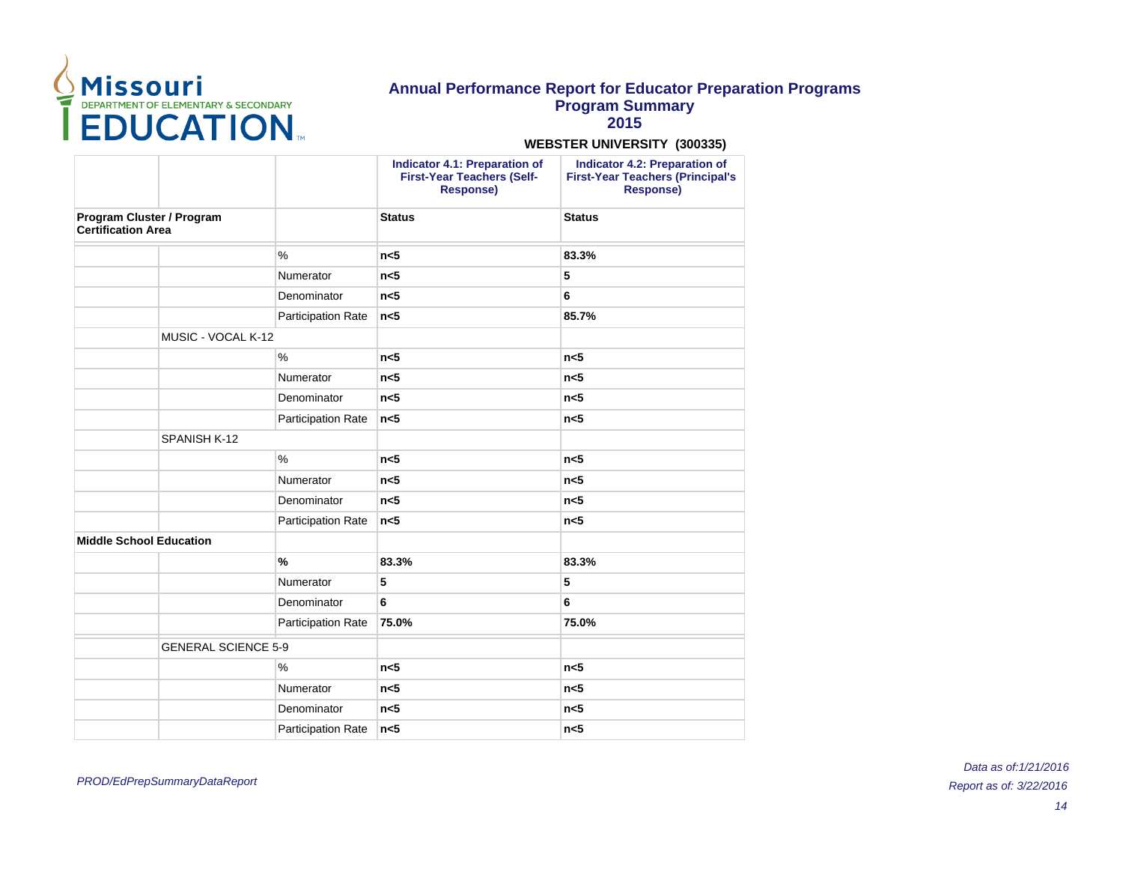

**2015**

### **WEBSTER UNIVERSITY (300335)**

|                                                        |                            | <b>Indicator 4.1: Preparation of</b><br><b>First-Year Teachers (Self-</b><br><b>Response)</b> | <b>Indicator 4.2: Preparation of</b><br><b>First-Year Teachers (Principal's</b><br>Response) |
|--------------------------------------------------------|----------------------------|-----------------------------------------------------------------------------------------------|----------------------------------------------------------------------------------------------|
| Program Cluster / Program<br><b>Certification Area</b> |                            | <b>Status</b>                                                                                 | <b>Status</b>                                                                                |
|                                                        | $\%$                       | n <sub>5</sub>                                                                                | 83.3%                                                                                        |
|                                                        | Numerator                  | n <sub>5</sub>                                                                                | 5                                                                                            |
|                                                        | Denominator                | n <sub>5</sub>                                                                                | 6                                                                                            |
|                                                        | Participation Rate         | n <sub>5</sub>                                                                                | 85.7%                                                                                        |
| MUSIC - VOCAL K-12                                     |                            |                                                                                               |                                                                                              |
|                                                        | $\%$                       | n <sub>5</sub>                                                                                | n <sub>5</sub>                                                                               |
|                                                        | Numerator                  | n <sub>5</sub>                                                                                | n <sub>5</sub>                                                                               |
|                                                        | Denominator                | n <sub>5</sub>                                                                                | n <sub>5</sub>                                                                               |
|                                                        | Participation Rate         | n <sub>5</sub>                                                                                | n <sub>5</sub>                                                                               |
| SPANISH K-12                                           |                            |                                                                                               |                                                                                              |
|                                                        | $\%$                       | n <sub>5</sub>                                                                                | n <sub>5</sub>                                                                               |
|                                                        | Numerator                  | n <sub>5</sub>                                                                                | n <sub>5</sub>                                                                               |
|                                                        | Denominator                | n <sub>5</sub>                                                                                | n <sub>5</sub>                                                                               |
|                                                        | Participation Rate         | n <sub>5</sub>                                                                                | n <sub>5</sub>                                                                               |
| <b>Middle School Education</b>                         |                            |                                                                                               |                                                                                              |
|                                                        | $\frac{9}{6}$              | 83.3%                                                                                         | 83.3%                                                                                        |
|                                                        | Numerator                  | 5                                                                                             | 5                                                                                            |
|                                                        | Denominator                | 6                                                                                             | 6                                                                                            |
|                                                        | Participation Rate         | 75.0%                                                                                         | 75.0%                                                                                        |
|                                                        | <b>GENERAL SCIENCE 5-9</b> |                                                                                               |                                                                                              |
|                                                        | %                          | n <sub>5</sub>                                                                                | n <sub>5</sub>                                                                               |
|                                                        | Numerator                  | n <sub>5</sub>                                                                                | n<5                                                                                          |
|                                                        | Denominator                | n <sub>5</sub>                                                                                | n<5                                                                                          |
|                                                        | Participation Rate         | n <sub>5</sub>                                                                                | n <sub>5</sub>                                                                               |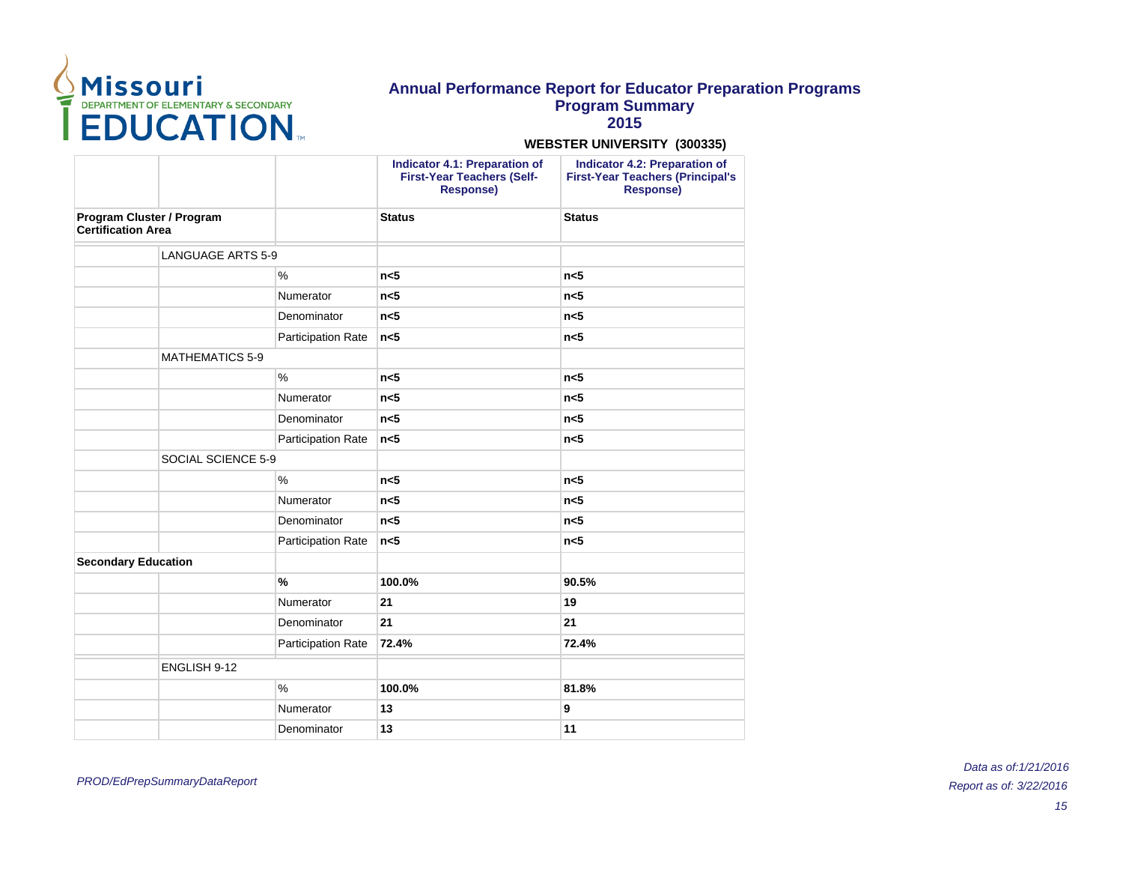

**2015**

### **WEBSTER UNIVERSITY (300335)**

|                                                        |                           | <b>Indicator 4.1: Preparation of</b><br><b>First-Year Teachers (Self-</b><br><b>Response)</b> | <b>Indicator 4.2: Preparation of</b><br><b>First-Year Teachers (Principal's</b><br><b>Response)</b> |
|--------------------------------------------------------|---------------------------|-----------------------------------------------------------------------------------------------|-----------------------------------------------------------------------------------------------------|
| Program Cluster / Program<br><b>Certification Area</b> |                           | <b>Status</b>                                                                                 | <b>Status</b>                                                                                       |
| <b>LANGUAGE ARTS 5-9</b>                               |                           |                                                                                               |                                                                                                     |
|                                                        | $\frac{0}{0}$             | n <sub>5</sub>                                                                                | n <sub>5</sub>                                                                                      |
|                                                        | Numerator                 | n <sub>5</sub>                                                                                | n <sub>5</sub>                                                                                      |
|                                                        | Denominator               | n<5                                                                                           | n <sub>5</sub>                                                                                      |
|                                                        | <b>Participation Rate</b> | n <sub>5</sub>                                                                                | n<5                                                                                                 |
| <b>MATHEMATICS 5-9</b>                                 |                           |                                                                                               |                                                                                                     |
|                                                        | $\%$                      | n<5                                                                                           | n <sub>5</sub>                                                                                      |
|                                                        | Numerator                 | n <sub>5</sub>                                                                                | n <sub>5</sub>                                                                                      |
|                                                        | Denominator               | n <sub>5</sub>                                                                                | n<5                                                                                                 |
|                                                        | Participation Rate        | n <sub>5</sub>                                                                                | n <sub>5</sub>                                                                                      |
| SOCIAL SCIENCE 5-9                                     |                           |                                                                                               |                                                                                                     |
|                                                        | $\%$                      | n <sub>5</sub>                                                                                | n <sub>5</sub>                                                                                      |
|                                                        | Numerator                 | n <sub>5</sub>                                                                                | n <sub>5</sub>                                                                                      |
|                                                        | Denominator               | n <sub>5</sub>                                                                                | n <sub>5</sub>                                                                                      |
|                                                        | <b>Participation Rate</b> | n<5                                                                                           | n <sub>5</sub>                                                                                      |
| <b>Secondary Education</b>                             |                           |                                                                                               |                                                                                                     |
|                                                        | $\frac{9}{6}$             | 100.0%                                                                                        | 90.5%                                                                                               |
|                                                        | Numerator                 | 21                                                                                            | 19                                                                                                  |
|                                                        | Denominator               | 21                                                                                            | 21                                                                                                  |
|                                                        | <b>Participation Rate</b> | 72.4%                                                                                         | 72.4%                                                                                               |
| ENGLISH 9-12                                           |                           |                                                                                               |                                                                                                     |
|                                                        | $\%$                      | 100.0%                                                                                        | 81.8%                                                                                               |
|                                                        | Numerator                 | 13                                                                                            | 9                                                                                                   |
|                                                        | Denominator               | 13                                                                                            | 11                                                                                                  |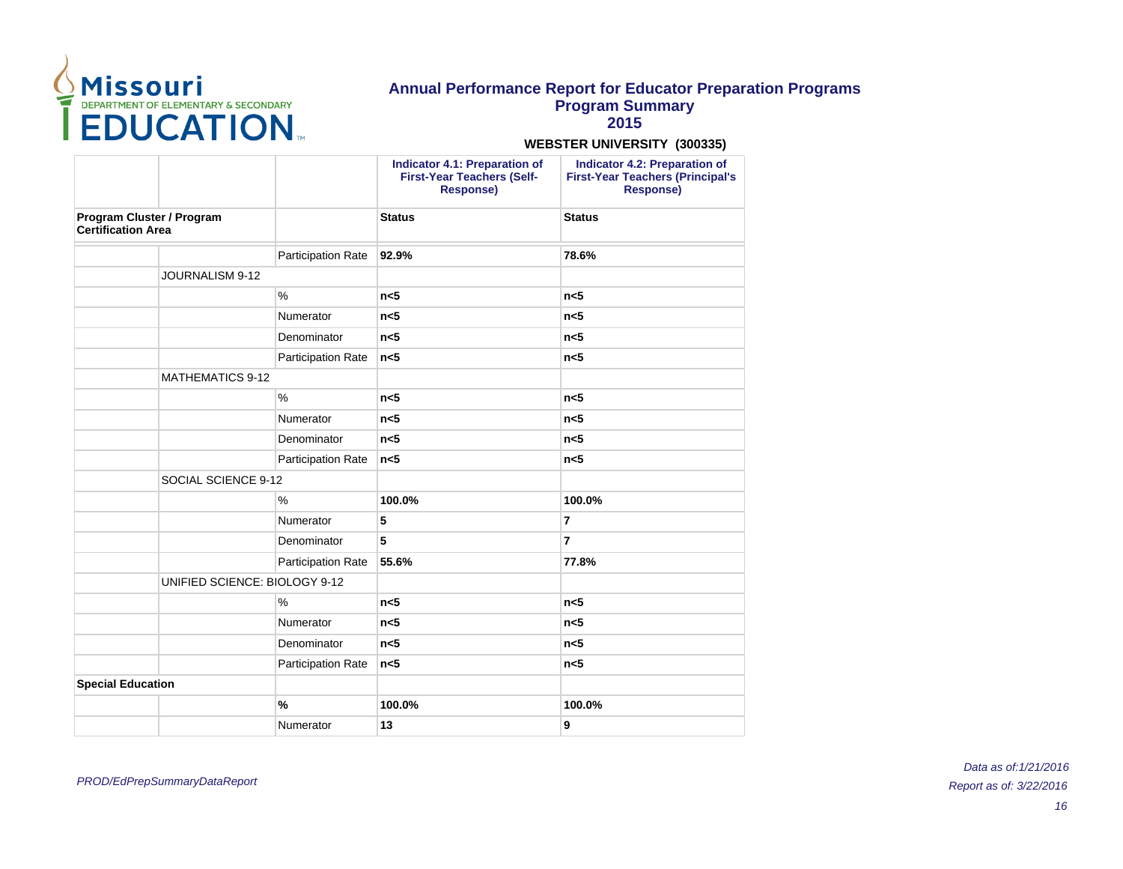

**2015**

|                                                        |                               |                           | <b>Indicator 4.1: Preparation of</b><br><b>First-Year Teachers (Self-</b><br><b>Response)</b> | <b>Indicator 4.2: Preparation of</b><br><b>First-Year Teachers (Principal's</b><br><b>Response)</b> |
|--------------------------------------------------------|-------------------------------|---------------------------|-----------------------------------------------------------------------------------------------|-----------------------------------------------------------------------------------------------------|
| Program Cluster / Program<br><b>Certification Area</b> |                               | <b>Status</b>             | <b>Status</b>                                                                                 |                                                                                                     |
|                                                        |                               | Participation Rate        | 92.9%                                                                                         | 78.6%                                                                                               |
| JOURNALISM 9-12                                        |                               |                           |                                                                                               |                                                                                                     |
|                                                        |                               | $\%$                      | n <sub>5</sub>                                                                                | n <sub>5</sub>                                                                                      |
|                                                        |                               | Numerator                 | n <sub>5</sub>                                                                                | n <sub>5</sub>                                                                                      |
|                                                        |                               | Denominator               | n <sub>5</sub>                                                                                | n<5                                                                                                 |
|                                                        |                               | Participation Rate        | n <sub>5</sub>                                                                                | n <sub>5</sub>                                                                                      |
|                                                        | <b>MATHEMATICS 9-12</b>       |                           |                                                                                               |                                                                                                     |
|                                                        |                               | $\%$                      | n <sub>5</sub>                                                                                | n <sub>5</sub>                                                                                      |
|                                                        |                               | Numerator                 | n <sub>5</sub>                                                                                | n <sub>5</sub>                                                                                      |
|                                                        |                               | Denominator               | n <sub>5</sub>                                                                                | n<5                                                                                                 |
|                                                        |                               | Participation Rate        | n <sub>5</sub>                                                                                | n <sub>5</sub>                                                                                      |
|                                                        | SOCIAL SCIENCE 9-12           |                           |                                                                                               |                                                                                                     |
|                                                        |                               | $\%$                      | 100.0%                                                                                        | 100.0%                                                                                              |
|                                                        |                               | Numerator                 | 5                                                                                             | $\overline{7}$                                                                                      |
|                                                        |                               | Denominator               | 5                                                                                             | $\overline{7}$                                                                                      |
|                                                        |                               | <b>Participation Rate</b> | 55.6%                                                                                         | 77.8%                                                                                               |
|                                                        | UNIFIED SCIENCE: BIOLOGY 9-12 |                           |                                                                                               |                                                                                                     |
|                                                        |                               | $\%$                      | n <sub>5</sub>                                                                                | n <sub>5</sub>                                                                                      |
|                                                        |                               | Numerator                 | n <sub>5</sub>                                                                                | n <sub>5</sub>                                                                                      |
|                                                        |                               | Denominator               | n <sub>5</sub>                                                                                | n <sub>5</sub>                                                                                      |
|                                                        |                               | Participation Rate        | n <sub>5</sub>                                                                                | n <sub>5</sub>                                                                                      |
| <b>Special Education</b>                               |                               |                           |                                                                                               |                                                                                                     |
|                                                        |                               | $\frac{9}{6}$             | 100.0%                                                                                        | 100.0%                                                                                              |
|                                                        |                               | Numerator                 | 13                                                                                            | 9                                                                                                   |
|                                                        |                               |                           |                                                                                               |                                                                                                     |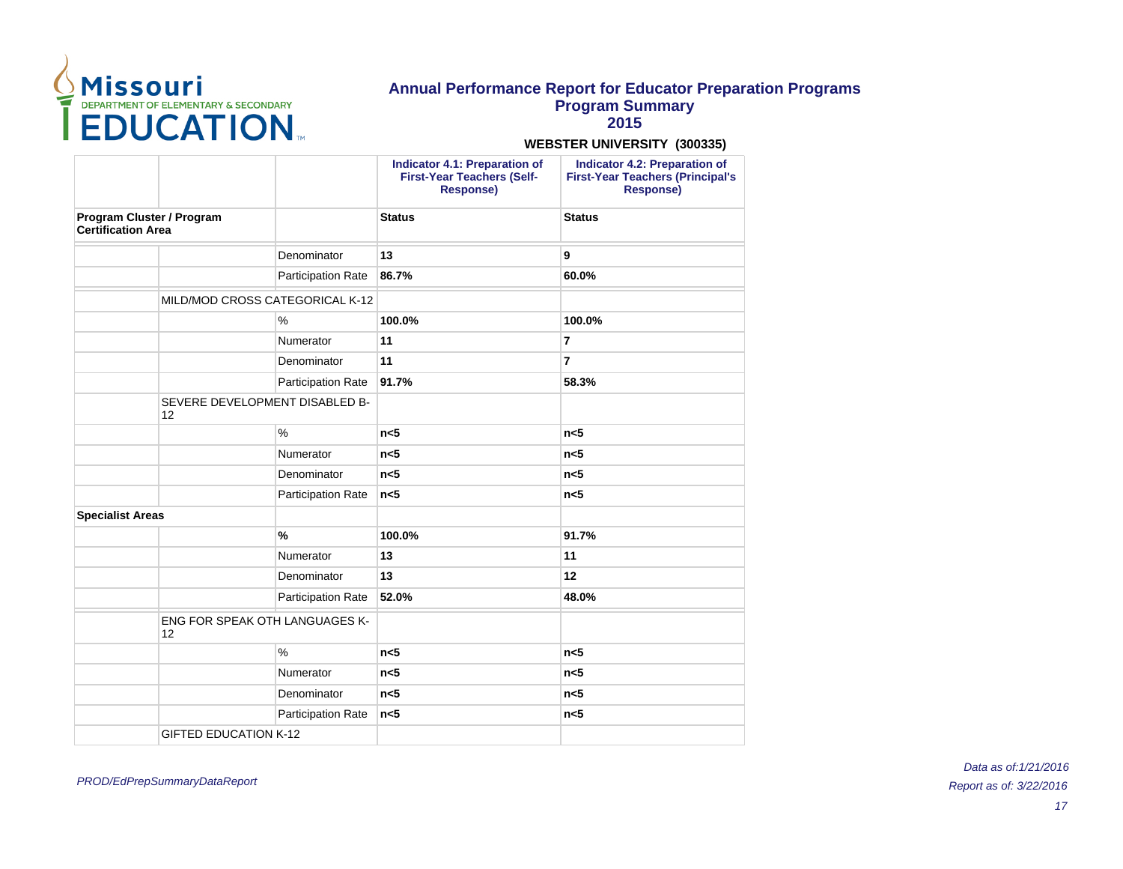

**2015**

#### **WEBSTER UNIVERSITY (300335)**

|                                                        |                                       |                           | <b>Indicator 4.1: Preparation of</b><br><b>First-Year Teachers (Self-</b><br><b>Response)</b> | <b>Indicator 4.2: Preparation of</b><br><b>First-Year Teachers (Principal's</b><br>Response) |
|--------------------------------------------------------|---------------------------------------|---------------------------|-----------------------------------------------------------------------------------------------|----------------------------------------------------------------------------------------------|
| Program Cluster / Program<br><b>Certification Area</b> |                                       | <b>Status</b>             | <b>Status</b>                                                                                 |                                                                                              |
|                                                        |                                       | Denominator               | 13                                                                                            | 9                                                                                            |
|                                                        |                                       | <b>Participation Rate</b> | 86.7%                                                                                         | 60.0%                                                                                        |
|                                                        | MILD/MOD CROSS CATEGORICAL K-12       |                           |                                                                                               |                                                                                              |
|                                                        |                                       | $\frac{0}{0}$             | 100.0%                                                                                        | 100.0%                                                                                       |
|                                                        |                                       | Numerator                 | 11                                                                                            | 7                                                                                            |
|                                                        |                                       | Denominator               | 11                                                                                            | $\overline{7}$                                                                               |
|                                                        |                                       | <b>Participation Rate</b> | 91.7%                                                                                         | 58.3%                                                                                        |
| 12                                                     | SEVERE DEVELOPMENT DISABLED B-        |                           |                                                                                               |                                                                                              |
|                                                        |                                       | $\frac{0}{0}$             | n <sub>5</sub>                                                                                | n <sub>5</sub>                                                                               |
|                                                        |                                       | Numerator                 | n <sub>5</sub>                                                                                | n <sub>5</sub>                                                                               |
|                                                        |                                       | Denominator               | n<5                                                                                           | n<5                                                                                          |
|                                                        |                                       | <b>Participation Rate</b> | n <sub>5</sub>                                                                                | n<5                                                                                          |
| <b>Specialist Areas</b>                                |                                       |                           |                                                                                               |                                                                                              |
|                                                        |                                       | $\frac{9}{6}$             | 100.0%                                                                                        | 91.7%                                                                                        |
|                                                        |                                       | Numerator                 | 13                                                                                            | 11                                                                                           |
|                                                        |                                       | Denominator               | 13                                                                                            | 12                                                                                           |
|                                                        |                                       | <b>Participation Rate</b> | 52.0%                                                                                         | 48.0%                                                                                        |
| 12                                                     | <b>ENG FOR SPEAK OTH LANGUAGES K-</b> |                           |                                                                                               |                                                                                              |
|                                                        |                                       | $\%$                      | n <sub>5</sub>                                                                                | n <sub>5</sub>                                                                               |
|                                                        |                                       | Numerator                 | n<5                                                                                           | n<5                                                                                          |
|                                                        |                                       | Denominator               | n <sub>5</sub>                                                                                | n<5                                                                                          |
|                                                        |                                       | Participation Rate        | n <sub>5</sub>                                                                                | n<5                                                                                          |
|                                                        | <b>GIFTED EDUCATION K-12</b>          |                           |                                                                                               |                                                                                              |
|                                                        |                                       |                           |                                                                                               |                                                                                              |

PROD/EdPrepSummaryDataReport